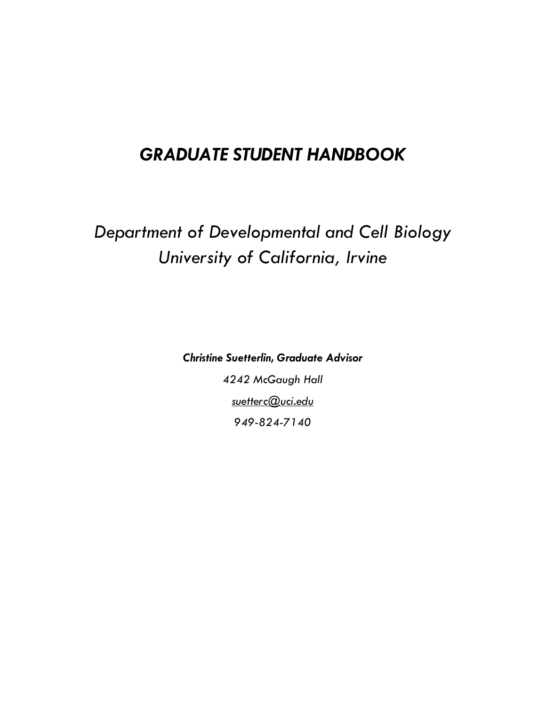## *GRADUATE STUDENT HANDBOOK*

# *Department of Developmental and Cell Biology University of California, Irvine*

*Christine Suetterlin, Graduate Advisor 4242 McGaugh Hall suetterc@uci.edu 949-824-7140*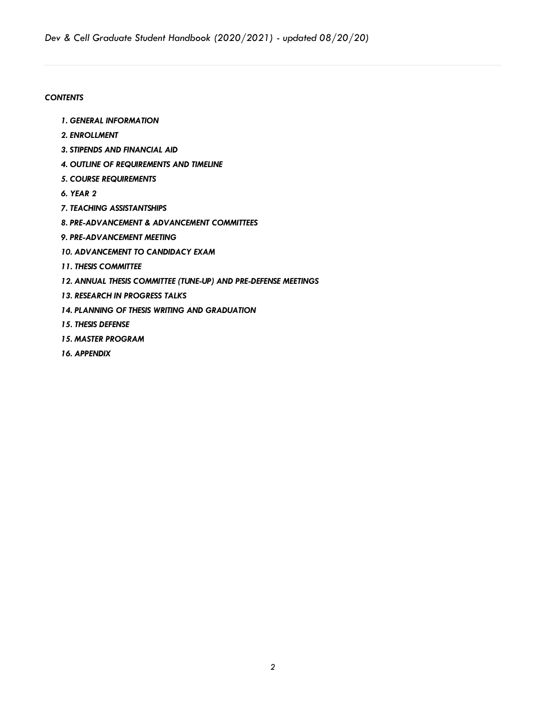#### *CONTENTS*

- *1. GENERAL INFORMATION*
- *2. ENROLLMENT*
- *3. STIPENDS AND FINANCIAL AID*
- *4. OUTLINE OF REQUIREMENTS AND TIMELINE*
- *5. COURSE REQUIREMENTS*
- *6. YEAR 2*
- *7. TEACHING ASSISTANTSHIPS*
- *8. PRE-ADVANCEMENT & ADVANCEMENT COMMITTEES*
- *9. PRE-ADVANCEMENT MEETING*
- *10. ADVANCEMENT TO CANDIDACY EXAM*
- *11. THESIS COMMITTEE*
- *12. ANNUAL THESIS COMMITTEE (TUNE-UP) AND PRE-DEFENSE MEETINGS*
- *13. RESEARCH IN PROGRESS TALKS*
- *14. PLANNING OF THESIS WRITING AND GRADUATION*
- *15. THESIS DEFENSE*
- *15. MASTER PROGRAM*
- *16. APPENDIX*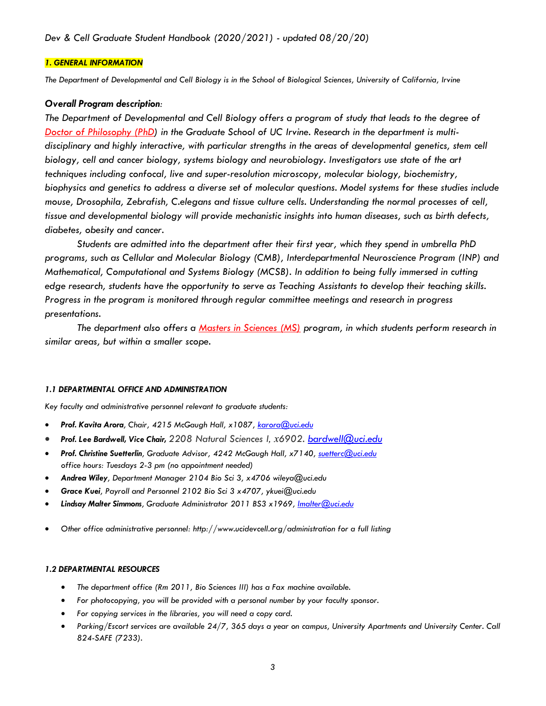#### *1. GENERAL INFORMATION*

*The Department of Developmental and Cell Biology is in the School of Biological Sciences, University of California, Irvine*

#### *Overall Program description:*

*The Department of Developmental and Cell Biology offers a program of study that leads to the degree of Doctor of Philosophy (PhD) in the Graduate School of UC Irvine. Research in the department is multidisciplinary and highly interactive, with particular strengths in the areas of developmental genetics, stem cell biology, cell and cancer biology, systems biology and neurobiology. Investigators use state of the art techniques including confocal, live and super-resolution microscopy, molecular biology, biochemistry, biophysics and genetics to address a diverse set of molecular questions. Model systems for these studies include mouse, Drosophila, Zebrafish, C.elegans and tissue culture cells. Understanding the normal processes of cell, tissue and developmental biology will provide mechanistic insights into human diseases, such as birth defects, diabetes, obesity and cancer.* 

*Students are admitted into the department after their first year, which they spend in umbrella PhD programs, such as Cellular and Molecular Biology (CMB), Interdepartmental Neuroscience Program (INP) and Mathematical, Computational and Systems Biology (MCSB). In addition to being fully immersed in cutting edge research, students have the opportunity to serve as Teaching Assistants to develop their teaching skills. Progress in the program is monitored through regular committee meetings and research in progress presentations.* 

*The department also offers a Masters in Sciences (MS) program, in which students perform research in similar areas, but within a smaller scope.*

#### *1.1 DEPARTMENTAL OFFICE AND ADMINISTRATION*

*Key faculty and administrative personnel relevant to graduate students:*

- *Prof. Kavita Arora, Chair, 4215 McGaugh Hall, x1087, karora@uci.edu*
- *Prof. Lee Bardwell, Vice Chair, 2208 Natural Sciences I, x6902. bardwell@uci.edu*
- *Prof. Christine Suetterlin, Graduate Advisor, 4242 McGaugh Hall, x7140, suetterc@uci.edu office hours: Tuesdays 2-3 pm (no appointment needed)*
- *Andrea Wiley, Department Manager 2104 Bio Sci 3, x4706 wileya@uci.edu*
- *Grace Kuei, Payroll and Personnel 2102 Bio Sci 3 x4707, ykuei@uci.edu*
- *Lindsay Malter Simmons, Graduate Administrator 2011 BS3 x1969, lmalter@uci.edu*
- *Other office administrative personnel: http://www.ucidevcell.org/administration for a full listing*

#### *1.2 DEPARTMENTAL RESOURCES*

- *The department office (Rm 2011, Bio Sciences III) has a Fax machine available.*
- *For photocopying, you will be provided with a personal number by your faculty sponsor.*
- *For copying services in the libraries, you will need a copy card.*
- *Parking/Escort services are available 24/7, 365 days a year on campus, University Apartments and University Center. Call 824-SAFE (7233).*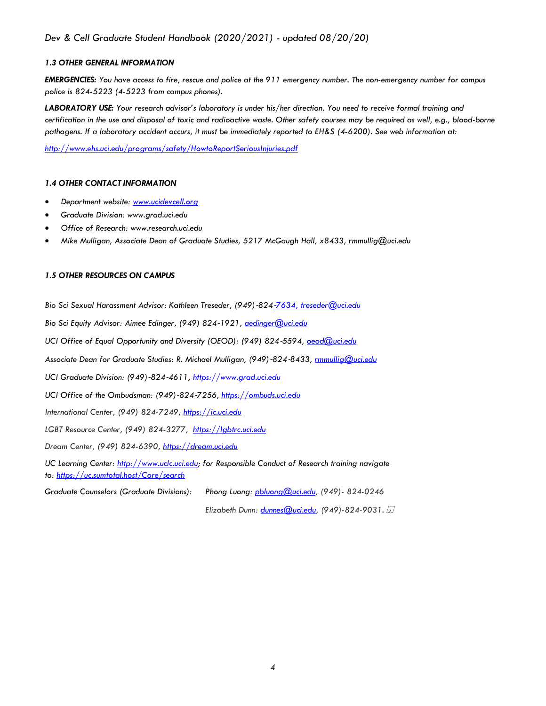#### *1.3 OTHER GENERAL INFORMATION*

*EMERGENCIES: You have access to fire, rescue and police at the 911 emergency number. The non-emergency number for campus police is 824-5223 (4-5223 from campus phones).*

*LABORATORY USE: Your research advisor's laboratory is under his/her direction. You need to receive formal training and certification in the use and disposal of toxic and radioactive waste. Other safety courses may be required as well, e.g., blood-borne pathogens. If a laboratory accident occurs, it must be immediately reported to EH&S (4-6200). See web information at:*

*http://www.ehs.uci.edu/programs/safety/HowtoReportSeriousInjuries.pdf*

#### *1.4 OTHER CONTACT INFORMATION*

- *Department website: www.ucidevcell.org*
- *Graduate Division: www.grad.uci.edu*
- *Office of Research: www.research.uci.edu*
- *Mike Mulligan, Associate Dean of Graduate Studies, 5217 McGaugh Hall, x8433, rmmullig@uci.edu*

#### *1.5 OTHER RESOURCES ON CAMPUS*

*Bio Sci Sexual Harassment Advisor: Kathleen Treseder, (949)*-*824*-*7634, treseder@uci.edu*

*Bio Sci Equity Advisor: Aimee Edinger, (949) 824*-*1921, aedinger@uci.edu*

*UCI Office of Equal Opportunity and Diversity (OEOD): (949) 824*-*5594, oeod@uci.edu*

*Associate Dean for Graduate Studies: R. Michael Mulligan, (949)*-*824*-*8433, rmmullig@uci.edu*

*UCI Graduate Division: (949)*-*824*-*4611, https://www.grad.uci.edu*

*UCI Office of the Ombudsman: (949)*-*824*-*7256, https://ombuds.uci.edu*

*International Center, (949) 824-7249, https://ic.uci.edu*

*LGBT Resource Center, (949) 824-3277, https://lgbtrc.uci.edu*

*Dream Center, (949) 824-6390, https://dream.uci.edu*

*UC Learning Center: http://www.uclc.uci.edu; for Responsible Conduct of Research training navigate to: https://uc.sumtotal.host/Core/search*

*Graduate Counselors (Graduate Divisions): Phong Luong: pbluong@uci.edu, (949)- 824-0246*

*Elizabeth Dunn: dunnes@uci.edu, (949)-824-9031.*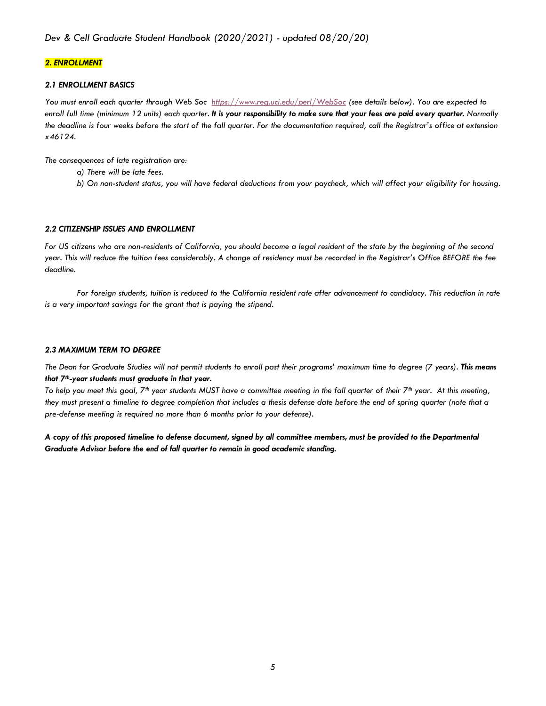#### *2. ENROLLMENT*

#### *2.1 ENROLLMENT BASICS*

*You must enroll each quarter through Web Soc https://www.reg.uci.edu/perl/WebSoc (see details below). You are expected to enroll full time (minimum 12 units) each quarter. It is your responsibility to make sure that your fees are paid every quarter. Normally the deadline is four weeks before the start of the fall quarter. For the documentation required, call the Registrar's office at extension x46124.*

*The consequences of late registration are:* 

- *a) There will be late fees.*
- *b) On non-student status, you will have federal deductions from your paycheck, which will affect your eligibility for housing.*

#### *2.2 CITIZENSHIP ISSUES AND ENROLLMENT*

*For US citizens who are non-residents of California, you should become a legal resident of the state by the beginning of the second year. This will reduce the tuition fees considerably. A change of residency must be recorded in the Registrar's Office BEFORE the fee deadline.*

*For foreign students, tuition is reduced to the California resident rate after advancement to candidacy. This reduction in rate is a very important savings for the grant that is paying the stipend.* 

#### *2.3 MAXIMUM TERM TO DEGREE*

*The Dean for Graduate Studies will not permit students to enroll past their programs' maximum time to degree (7 years). This means that 7th-year students must graduate in that year.*

*To help you meet this goal, 7th year students MUST have a committee meeting in the fall quarter of their 7th year. At this meeting, they must present a timeline to degree completion that includes a thesis defense date before the end of spring quarter (note that a pre-defense meeting is required no more than 6 months prior to your defense).* 

*A copy of this proposed timeline to defense document, signed by all committee members, must be provided to the Departmental Graduate Advisor before the end of fall quarter to remain in good academic standing.*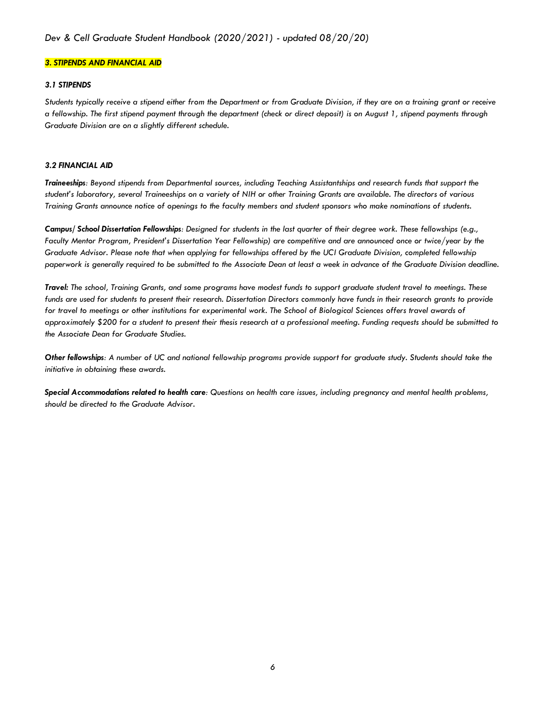#### *3. STIPENDS AND FINANCIAL AID*

#### *3.1 STIPENDS*

*Students typically receive a stipend either from the Department or from Graduate Division, if they are on a training grant or receive a fellowship. The first stipend payment through the department (check or direct deposit) is on August 1, stipend payments through Graduate Division are on a slightly different schedule.* 

#### *3.2 FINANCIAL AID*

*Traineeships: Beyond stipends from Departmental sources, including Teaching Assistantships and research funds that support the student's laboratory, several Traineeships on a variety of NIH or other Training Grants are available. The directors of various Training Grants announce notice of openings to the faculty members and student sponsors who make nominations of students.*

*Campus/ School Dissertation Fellowships: Designed for students in the last quarter of their degree work. These fellowships (e.g., Faculty Mentor Program, President's Dissertation Year Fellowship) are competitive and are announced once or twice/year by the Graduate Advisor. Please note that when applying for fellowships offered by the UCI Graduate Division, completed fellowship paperwork is generally required to be submitted to the Associate Dean at least a week in advance of the Graduate Division deadline.*

*Travel: The school, Training Grants, and some programs have modest funds to support graduate student travel to meetings. These funds are used for students to present their research. Dissertation Directors commonly have funds in their research grants to provide for travel to meetings or other institutions for experimental work. The School of Biological Sciences offers travel awards of approximately \$200 for a student to present their thesis research at a professional meeting. Funding requests should be submitted to the Associate Dean for Graduate Studies.*

*Other fellowships: A number of UC and national fellowship programs provide support for graduate study. Students should take the initiative in obtaining these awards.*

*Special Accommodations related to health care: Questions on health care issues, including pregnancy and mental health problems, should be directed to the Graduate Advisor.*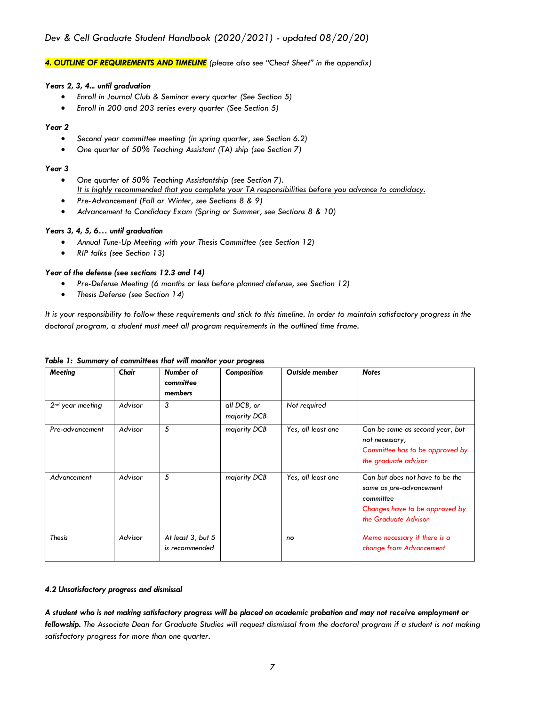#### *4. OUTLINE OF REQUIREMENTS AND TIMELINE (please also see "Cheat Sheet" in the appendix)*

#### *Years 2, 3, 4... until graduation*

- *Enroll in Journal Club & Seminar every quarter (See Section 5)*
- *Enroll in 200 and 203 series every quarter (See Section 5)*

#### *Year 2*

- *Second year committee meeting (in spring quarter, see Section 6.2)*
- *One quarter of 50% Teaching Assistant (TA) ship (see Section 7)*

#### *Year 3*

- *One quarter of 50% Teaching Assistantship (see Section 7). It is highly recommended that you complete your TA responsibilities before you advance to candidacy.*
- *Pre-Advancement (Fall or Winter, see Sections 8 & 9)*
- *Advancement to Candidacy Exam (Spring or Summer, see Sections 8 & 10)*

#### *Years 3, 4, 5, 6… until graduation*

- *Annual Tune-Up Meeting with your Thesis Committee (see Section 12)*
- *RIP talks (see Section 13)*

#### *Year of the defense (see sections 12.3 and 14)*

- *Pre-Defense Meeting (6 months or less before planned defense, see Section 12)*
- *Thesis Defense (see Section 14)*

*It is your responsibility to follow these requirements and stick to this timeline. In order to maintain satisfactory progress in the doctoral program, a student must meet all program requirements in the outlined time frame.*

| <b>Meeting</b>     | Chair   | Number of<br>committee<br>members   | Composition                 | <b>Outside member</b> | <b>Notes</b>                                                                                                                      |
|--------------------|---------|-------------------------------------|-----------------------------|-----------------------|-----------------------------------------------------------------------------------------------------------------------------------|
| $2nd$ year meeting | Advisor | 3                                   | all DCB, or<br>majority DCB | Not required          |                                                                                                                                   |
| Pre-advancement    | Advisor | 5                                   | majority DCB                | Yes, all least one    | Can be same as second year, but<br>not necessary,<br>Committee has to be approved by<br>the graduate advisor                      |
| Advancement        | Advisor | 5                                   | majority DCB                | Yes, all least one    | Can but does not have to be the<br>same as pre-advancement<br>committee<br>Changes have to be approved by<br>the Graduate Advisor |
| <b>Thesis</b>      | Advisor | At least 3, but 5<br>is recommended |                             | no                    | Memo necessary if there is a<br>change from Advancement                                                                           |

#### *Table 1: Summary of committees that will monitor your progress*

#### *4.2 Unsatisfactory progress and dismissal*

*A student who is not making satisfactory progress will be placed on academic probation and may not receive employment or fellowship. The Associate Dean for Graduate Studies will request dismissal from the doctoral program if a student is not making satisfactory progress for more than one quarter.*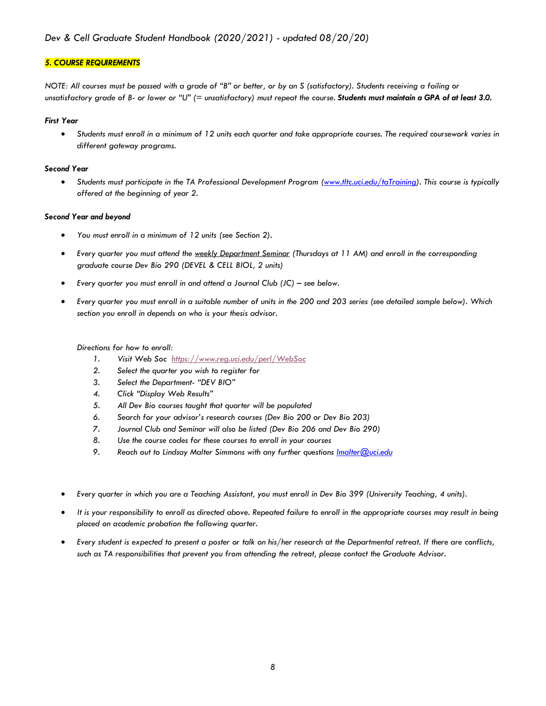#### *5. COURSE REQUIREMENTS*

*NOTE: All courses must be passed with a grade of "B" or better, or by an S (satisfactory). Students receiving a failing or unsatisfactory grade of B- or lower or "U" (= unsatisfactory) must repeat the course. Students must maintain a GPA of at least 3.0.*

#### *First Year*

• *Students must enroll in a minimum of 12 units each quarter and take appropriate courses. The required coursework varies in different gateway programs.*

#### *Second Year*

• *Students must participate in the TA Professional Development Program (www.tltc.uci.edu/taTraining). This course is typically offered at the beginning of year 2.*

#### *Second Year and beyond*

- *You must enroll in a minimum of 12 units (see Section 2).*
- *Every quarter you must attend the weekly Department Seminar (Thursdays at 11 AM) and enroll in the corresponding graduate course Dev Bio 290 (DEVEL & CELL BIOL, 2 units)*
- *Every quarter you must enroll in and attend a Journal Club (JC) – see below.*
- *Every quarter you must enroll in a suitable number of units in the 200 and 203 series (see detailed sample below). Which section you enroll in depends on who is your thesis advisor.*

#### *Directions for how to enroll:*

- *1. Visit Web Soc https://www.reg.uci.edu/perl/WebSoc*
- *2. Select the quarter you wish to register for*
- *3. Select the Department- "DEV BIO"*
- *4. Click "Display Web Results"*
- *5. All Dev Bio courses taught that quarter will be populated*
- *6. Search for your advisor's research courses (Dev Bio 200 or Dev Bio 203)*
- *7. Journal Club and Seminar will also be listed (Dev Bio 206 and Dev Bio 290)*
- *8. Use the course codes for these courses to enroll in your courses*
- *9. Reach out to Lindsay Malter Simmons with any further questions lmalter@uci.edu*
- *Every quarter in which you are a Teaching Assistant, you must enroll in Dev Bio 399 (University Teaching, 4 units).*
- *It is your responsibility to enroll as directed above. Repeated failure to enroll in the appropriate courses may result in being placed on academic probation the following quarter.*
- *Every student is expected to present a poster or talk on his/her research at the Departmental retreat. If there are conflicts, such as TA responsibilities that prevent you from attending the retreat, please contact the Graduate Advisor.*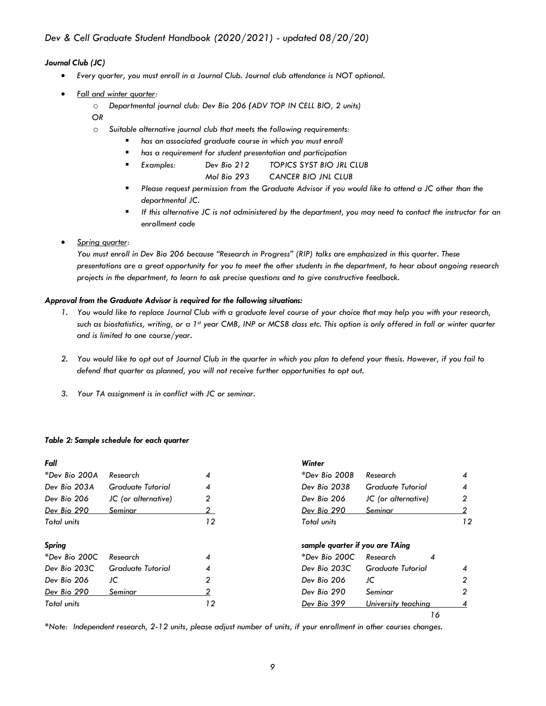#### *Journal Club (JC)*

- *Every quarter, you must enroll in a Journal Club. Journal club attendance is NOT optional.*
- *Fall and winter quarter:*
	- o *Departmental journal club: Dev Bio 206 (ADV TOP IN CELL BIO, 2 units)*
	- *OR*
	- o *Suitable alternative journal club that meets the following requirements:*
		- *has an associated graduate course in which you must enroll*
		- § *has a requirement for student presentation and participation*
		- § *Examples: Dev Bio 212 TOPICS SYST BIO JRL CLUB*
			- *Mol Bio 293 CANCER BIO JNL CLUB*
		- Please request permission from the Graduate Advisor if you would like to attend a JC other than the *departmental JC.*
		- § *If this alternative JC is not administered by the department, you may need to contact the instructor for an enrollment code*

#### • *Spring quarter:*

*You must enroll in Dev Bio 206 because "Research in Progress" (RIP) talks are emphasized in this quarter. These presentations are a great opportunity for you to meet the other students in the department, to hear about ongoing research projects in the department, to learn to ask precise questions and to give constructive feedback.*

#### *Approval from the Graduate Advisor is required for the following situations:*

- *1. You would like to replace Journal Club with a graduate level course of your choice that may help you with your research, such as biostatistics, writing, or a 1st year CMB, INP or MCSB class etc. This option is only offered in fall or winter quarter and is limited to one course/year.*
- *2. You would like to opt out of Journal Club in the quarter in which you plan to defend your thesis. However, if you fail to defend that quarter as planned, you will not receive further opportunities to opt out.*
- *3. Your TA assignment is in conflict with JC or seminar.*

#### *Table 2: Sample schedule for each quarter*

| Fall          |                     |    | Winter                          |                          |    |
|---------------|---------------------|----|---------------------------------|--------------------------|----|
| *Dev Bio 200A | Research            | 4  | *Dev Bio 200B                   | Research                 | 4  |
| Dev Bio 203A  | Graduate Tutorial   | 4  | Dev Bio 203B                    | <b>Graduate Tutorial</b> | 4  |
| Dev Bio 206   | JC (or alternative) | 2  | Dev Bio 206                     | JC (or alternative)      | 2  |
| Dev Bio 290   | Seminar             |    | Dev Bio 290                     | Seminar                  |    |
| Total units   |                     | 12 | Total units                     |                          | 12 |
| Spring        |                     |    | sample quarter if you are TAing |                          |    |
| *Dev Bio 200C | Research            | 4  | *Dev Bio 200C                   | Research<br>4            |    |
| Dev Bio 203C  | Graduate Tutorial   | 4  | Dev Bio 203C                    | Graduate Tutorial        | 4  |
| Dev Bio 206   | JC                  | 2  | Dev Bio 206                     | JC                       | 2  |
| Dev Bio 290   | Seminar             |    | Dev Bio 290                     | Seminar                  | 2  |
| Total units   |                     | 12 | Dev Bio 399                     | University teaching      |    |
|               |                     |    |                                 |                          | 16 |

*\*Note: Independent research, 2-12 units, please adjust number of units, if your enrollment in other courses changes.*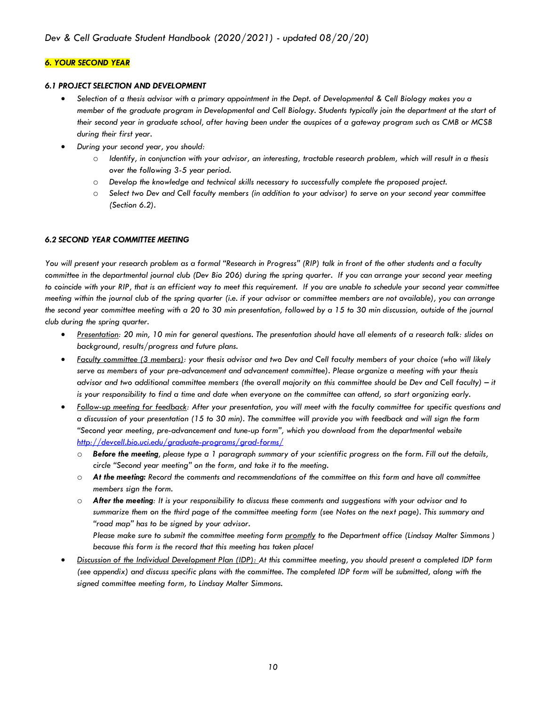#### *6. YOUR SECOND YEAR*

#### *6.1 PROJECT SELECTION AND DEVELOPMENT*

- *Selection of a thesis advisor with a primary appointment in the Dept. of Developmental & Cell Biology makes you a member of the graduate program in Developmental and Cell Biology. Students typically join the department at the start of their second year in graduate school, after having been under the auspices of a gateway program such as CMB or MCSB during their first year.*
- *During your second year, you should:*
	- o *Identify, in conjunction with your advisor, an interesting, tractable research problem, which will result in a thesis over the following 3-5 year period.*
	- o *Develop the knowledge and technical skills necessary to successfully complete the proposed project.*
	- o *Select two Dev and Cell faculty members (in addition to your advisor) to serve on your second year committee (Section 6.2).*

#### *6.2 SECOND YEAR COMMITTEE MEETING*

*You will present your research problem as a formal "Research in Progress" (RIP) talk in front of the other students and a faculty committee in the departmental journal club (Dev Bio 206) during the spring quarter. If you can arrange your second year meeting*  to coincide with your RIP, that is an efficient way to meet this requirement. If you are unable to schedule your second year committee *meeting within the journal club of the spring quarter (i.e. if your advisor or committee members are not available), you can arrange the second year committee meeting with a 20 to 30 min presentation, followed by a 15 to 30 min discussion, outside of the journal club during the spring quarter.*

- *Presentation: 20 min, 10 min for general questions. The presentation should have all elements of a research talk: slides on background, results/progress and future plans.*
- *Faculty committee (3 members): your thesis advisor and two Dev and Cell faculty members of your choice (who will likely serve as members of your pre-advancement and advancement committee). Please organize a meeting with your thesis advisor and two additional committee members (the overall majority on this committee should be Dev and Cell faculty) – it is your responsibility to find a time and date when everyone on the committee can attend, so start organizing early.*
- *Follow-up meeting for feedback: After your presentation, you will meet with the faculty committee for specific questions and a discussion of your presentation (15 to 30 min). The committee will provide you with feedback and will sign the form "Second year meeting, pre-advancement and tune-up form", which you download from the departmental website http://devcell.bio.uci.edu/graduate-programs/grad-forms/*
	- o *Before the meeting, please type a 1 paragraph summary of your scientific progress on the form. Fill out the details, circle "Second year meeting" on the form, and take it to the meeting.*
	- o *At the meeting: Record the comments and recommendations of the committee on this form and have all committee members sign the form.*
	- o *After the meeting: It is your responsibility to discuss these comments and suggestions with your advisor and to summarize them on the third page of the committee meeting form (see Notes on the next page). This summary and "road map" has to be signed by your advisor.*

*Please make sure to submit the committee meeting form promptly to the Department office (Lindsay Malter Simmons ) because this form is the record that this meeting has taken place!*

• *Discussion of the Individual Development Plan (IDP): At this committee meeting, you should present a completed IDP form (see appendix) and discuss specific plans with the committee. The completed IDP form will be submitted, along with the signed committee meeting form, to Lindsay Malter Simmons.*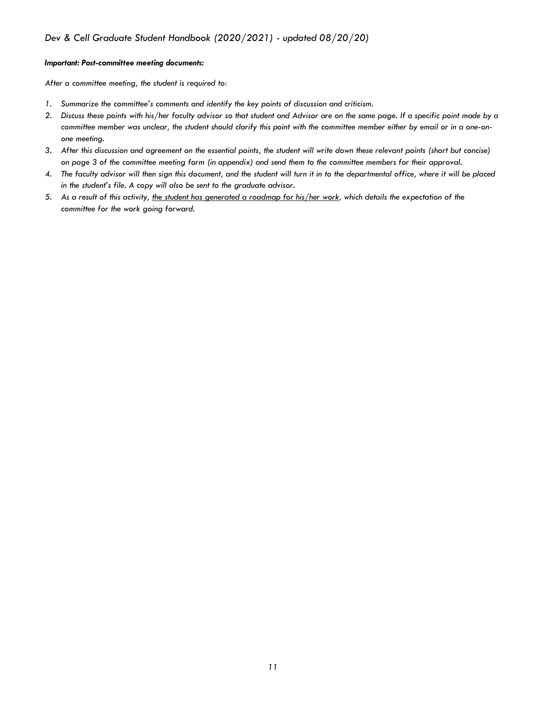#### *Important: Post-committee meeting documents:*

*After a committee meeting, the student is required to:* 

- *1. Summarize the committee's comments and identify the key points of discussion and criticism.*
- *2. Discuss these points with his/her faculty advisor so that student and Advisor are on the same page. If a specific point made by a committee member was unclear, the student should clarify this point with the committee member either by email or in a one-onone meeting.*
- *3. After this discussion and agreement on the essential points, the student will write down these relevant points (short but concise) on page 3 of the committee meeting form (in appendix) and send them to the committee members for their approval.*
- *4. The faculty advisor will then sign this document, and the student will turn it in to the departmental office, where it will be placed in the student's file. A copy will also be sent to the graduate advisor.*
- *5. As a result of this activity, the student has generated a roadmap for his/her work, which details the expectation of the committee for the work going forward.*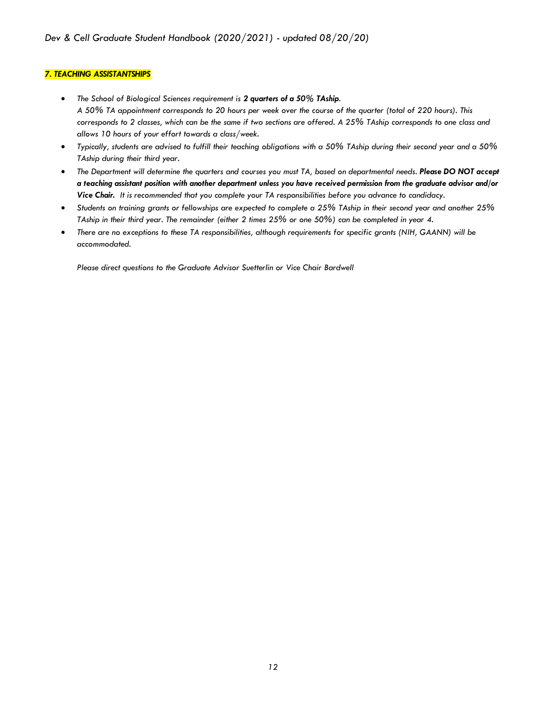#### *7. TEACHING ASSISTANTSHIPS*

- *The School of Biological Sciences requirement is 2 quarters of a 50% TAship. A 50% TA appointment corresponds to 20 hours per week over the course of the quarter (total of 220 hours). This corresponds to 2 classes, which can be the same if two sections are offered. A 25% TAship corresponds to one class and allows 10 hours of your effort towards a class/week.*
- *Typically, students are advised to fulfill their teaching obligations with a 50% TAship during their second year and a 50% TAship during their third year.*
- *The Department will determine the quarters and courses you must TA, based on departmental needs. Please DO NOT accept a teaching assistant position with another department unless you have received permission from the graduate advisor and/or Vice Chair. It is recommended that you complete your TA responsibilities before you advance to candidacy.*
- *Students on training grants or fellowships are expected to complete a 25% TAship in their second year and another 25% TAship in their third year. The remainder (either 2 times 25% or one 50%) can be completed in year 4.*
- *There are no exceptions to these TA responsibilities, although requirements for specific grants (NIH, GAANN) will be accommodated.*

*Please direct questions to the Graduate Advisor Suetterlin or Vice Chair Bardwell*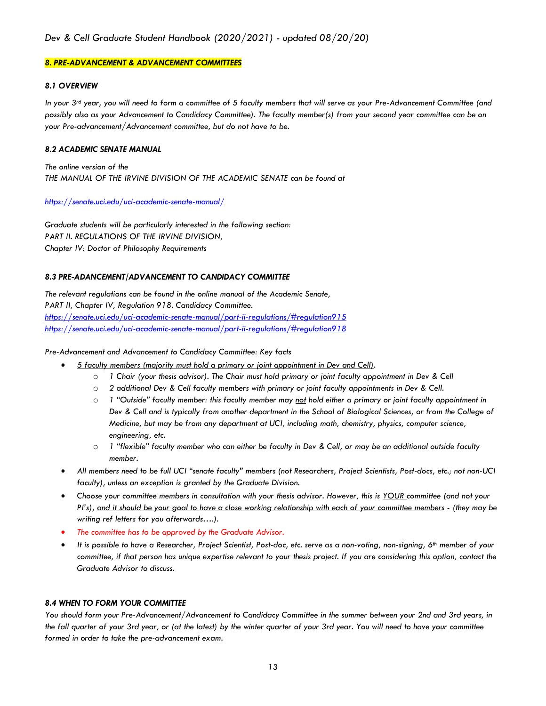#### *8. PRE-ADVANCEMENT & ADVANCEMENT COMMITTEES*

#### *8.1 OVERVIEW*

*In your 3rd year, you will need to form a committee of 5 faculty members that will serve as your Pre-Advancement Committee (and possibly also as your Advancement to Candidacy Committee). The faculty member(s) from your second year committee can be on your Pre-advancement/Advancement committee, but do not have to be.*

#### *8.2 ACADEMIC SENATE MANUAL*

*The online version of the THE MANUAL OF THE IRVINE DIVISION OF THE ACADEMIC SENATE can be found at*

#### *https://senate.uci.edu/uci-academic-senate-manual/*

*Graduate students will be particularly interested in the following section: PART II. REGULATIONS OF THE IRVINE DIVISION, Chapter IV: Doctor of Philosophy Requirements*

#### *8.3 PRE-ADANCEMENT/ADVANCEMENT TO CANDIDACY COMMITTEE*

*The relevant regulations can be found in the online manual of the Academic Senate, PART II, Chapter IV, Regulation 918. Candidacy Committee. https://senate.uci.edu/uci-academic-senate-manual/part-ii-regulations/#regulation915 https://senate.uci.edu/uci-academic-senate-manual/part-ii-regulations/#regulation918*

#### *Pre-Advancement and Advancement to Candidacy Committee: Key facts*

- *5 faculty members (majority must hold a primary or joint appointment in Dev and Cell).*
	- o *1 Chair (your thesis advisor). The Chair must hold primary or joint faculty appointment in Dev & Cell*
	- o *2 additional Dev & Cell faculty members with primary or joint faculty appointments in Dev & Cell.*
	- o *1 "Outside" faculty member: this faculty member may not hold either a primary or joint faculty appointment in Dev & Cell and is typically from another department in the School of Biological Sciences, or from the College of Medicine, but may be from any department at UCI, including math, chemistry, physics, computer science, engineering, etc.*
	- o *1 "flexible" faculty member who can either be faculty in Dev & Cell, or may be an additional outside faculty member.*
- *All members need to be full UCI "senate faculty" members (not Researchers, Project Scientists, Post-docs, etc.; not non-UCI faculty), unless an exception is granted by the Graduate Division.*
- *Choose your committee members in consultation with your thesis advisor. However, this is YOUR committee (and not your PI's), and it should be your goal to have a close working relationship with each of your committee members - (they may be writing ref letters for you afterwards….).*
- *The committee has to be approved by the Graduate Advisor.*
- *It is possible to have a Researcher, Project Scientist, Post-doc, etc. serve as a non-voting, non-signing, 6th member of your committee, if that person has unique expertise relevant to your thesis project. If you are considering this option, contact the Graduate Advisor to discuss.*

#### *8.4 WHEN TO FORM YOUR COMMITTEE*

*You should form your Pre-Advancement/Advancement to Candidacy Committee in the summer between your 2nd and 3rd years, in the fall quarter of your 3rd year, or (at the latest) by the winter quarter of your 3rd year. You will need to have your committee formed in order to take the pre-advancement exam.*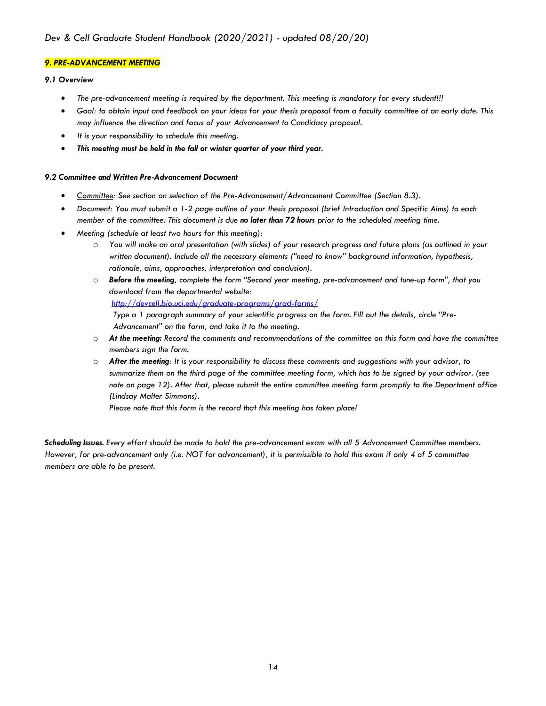#### *9. PRE-ADVANCEMENT MEETING*

#### *9.1 Overview*

- *The pre-advancement meeting is required by the department. This meeting is mandatory for every student!!!*
- *Goal: to obtain input and feedback on your ideas for your thesis proposal from a faculty committee at an early date. This may influence the direction and focus of your Advancement to Candidacy proposal.*
- *It is your responsibility to schedule this meeting.*
- *This meeting must be held in the fall or winter quarter of your third year.*

#### *9.2 Committee and Written Pre-Advancement Document*

- *Committee: See section on selection of the Pre-Advancement/Advancement Committee (Section 8.3).*
- *Document: You must submit a 1-2 page outline of your thesis proposal (brief Introduction and Specific Aims) to each member of the committee. This document is due no later than 72 hours prior to the scheduled meeting time.*
- *Meeting (schedule at least two hours for this meeting):* 
	- o *You will make an oral presentation (with slides) of your research progress and future plans (as outlined in your written document). Include all the necessary elements ("need to know" background information, hypothesis, rationale, aims, approaches, interpretation and conclusion).*
	- o *Before the meeting, complete the form "Second year meeting, pre-advancement and tune-up form", that you download from the departmental website:*

*http://devcell.bio.uci.edu/graduate-programs/grad-forms/*

*Type a 1 paragraph summary of your scientific progress on the form. Fill out the details, circle "Pre-Advancement" on the form, and take it to the meeting.* 

- o *At the meeting: Record the comments and recommendations of the committee on this form and have the committee members sign the form.*
- o *After the meeting: It is your responsibility to discuss these comments and suggestions with your advisor, to summarize them on the third page of the committee meeting form, which has to be signed by your advisor. (see note on page 12). After that, please submit the entire committee meeting form promptly to the Department office (Lindsay Malter Simmons).*

*Please note that this form is the record that this meeting has taken place!*

*Scheduling Issues. Every effort should be made to hold the pre-advancement exam with all 5 Advancement Committee members.* However, for pre-advancement only (i.e. NOT for advancement), it is permissible to hold this exam if only 4 of 5 committee *members are able to be present.*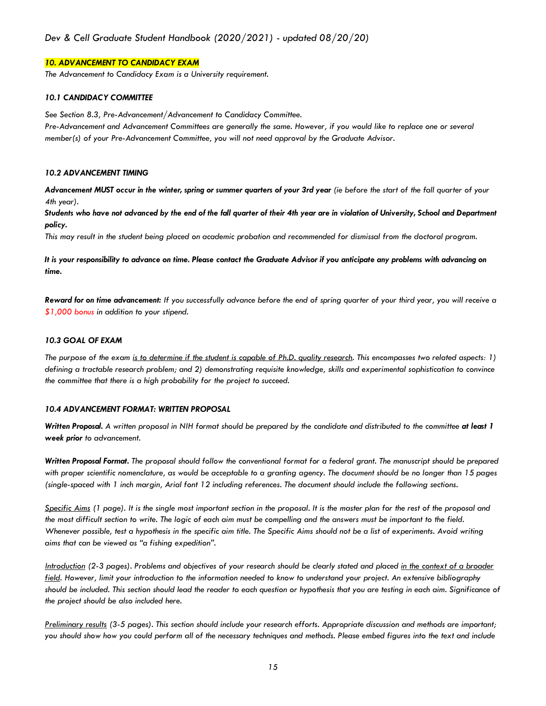#### *10. ADVANCEMENT TO CANDIDACY EXAM*

*The Advancement to Candidacy Exam is a University requirement.*

#### *10.1 CANDIDACY COMMITTEE*

*See Section 8.3, Pre-Advancement/Advancement to Candidacy Committee.*

*Pre-Advancement and Advancement Committees are generally the same. However, if you would like to replace one or several member(s) of your Pre-Advancement Committee, you will not need approval by the Graduate Advisor.* 

#### *10.2 ADVANCEMENT TIMING*

*Advancement MUST occur in the winter, spring or summer quarters of your 3rd year (ie before the start of the fall quarter of your 4th year).*

*Students who have not advanced by the end of the fall quarter of their 4th year are in violation of University, School and Department policy.*

*This may result in the student being placed on academic probation and recommended for dismissal from the doctoral program.*

*It is your responsibility to advance on time. Please contact the Graduate Advisor if you anticipate any problems with advancing on time.*

*Reward for on time advancement: If you successfully advance before the end of spring quarter of your third year, you will receive a \$1,000 bonus in addition to your stipend.*

#### *10.3 GOAL OF EXAM*

*The purpose of the exam is to determine if the student is capable of Ph.D. quality research. This encompasses two related aspects: 1) defining a tractable research problem; and 2) demonstrating requisite knowledge, skills and experimental sophistication to convince the committee that there is a high probability for the project to succeed.*

#### *10.4 ADVANCEMENT FORMAT: WRITTEN PROPOSAL*

*Written Proposal. A written proposal in NIH format should be prepared by the candidate and distributed to the committee at least 1 week prior to advancement.* 

*Written Proposal Format. The proposal should follow the conventional format for a federal grant. The manuscript should be prepared with proper scientific nomenclature, as would be acceptable to a granting agency. The document should be no longer than 15 pages (single-spaced with 1 inch margin, Arial font 12 including references. The document should include the following sections.* 

*Specific Aims* (1 page). It is the single most important section in the proposal. It is the master plan for the rest of the proposal and *the most difficult section to write. The logic of each aim must be compelling and the answers must be important to the field. Whenever possible, test a hypothesis in the specific aim title. The Specific Aims should not be a list of experiments. Avoid writing aims that can be viewed as "a fishing expedition".* 

*Introduction (2-3 pages). Problems and objectives of your research should be clearly stated and placed in the context of a broader field. However, limit your introduction to the information needed to know to understand your project. An extensive bibliography should be included. This section should lead the reader to each question or hypothesis that you are testing in each aim. Significance of the project should be also included here.* 

*Preliminary results (3-5 pages). This section should include your research efforts. Appropriate discussion and methods are important; you should show how you could perform all of the necessary techniques and methods. Please embed figures into the text and include*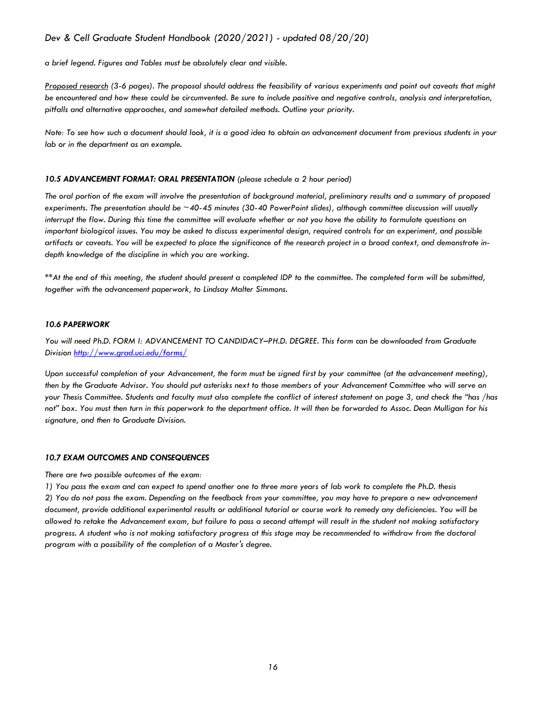*a brief legend. Figures and Tables must be absolutely clear and visible.* 

*Proposed research (3-6 pages). The proposal should address the feasibility of various experiments and point out caveats that might be encountered and how these could be circumvented. Be sure to include positive and negative controls, analysis and interpretation, pitfalls and alternative approaches, and somewhat detailed methods. Outline your priority.*

*Note: To see how such a document should look, it is a good idea to obtain an advancement document from previous students in your lab or in the department as an example.* 

#### *10.5 ADVANCEMENT FORMAT: ORAL PRESENTATION (please schedule a 2 hour period)*

*The oral portion of the exam will involve the presentation of background material, preliminary results and a summary of proposed experiments. The presentation should be ~40-45 minutes (30-40 PowerPoint slides), although committee discussion will usually interrupt the flow. During this time the committee will evaluate whether or not you have the ability to formulate questions on important biological issues. You may be asked to discuss experimental design, required controls for an experiment, and possible artifacts or caveats. You will be expected to place the significance of the research project in a broad context, and demonstrate indepth knowledge of the discipline in which you are working.*

*\*\*At the end of this meeting, the student should present a completed IDP to the committee. The completed form will be submitted, together with the advancement paperwork, to Lindsay Malter Simmons.*

#### *10.6 PAPERWORK*

*You will need Ph.D. FORM I: ADVANCEMENT TO CANDIDACY–PH.D. DEGREE. This form can be downloaded from Graduate Division http://www.grad.uci.edu/forms/*

*Upon successful completion of your Advancement, the form must be signed first by your committee (at the advancement meeting), then by the Graduate Advisor. You should put asterisks next to those members of your Advancement Committee who will serve on your Thesis Committee. Students and faculty must also complete the conflict of interest statement on page 3, and check the "has /has not" box. You must then turn in this paperwork to the department office. It will then be forwarded to Assoc. Dean Mulligan for his signature, and then to Graduate Division.*

#### *10.7 EXAM OUTCOMES AND CONSEQUENCES*

*There are two possible outcomes of the exam:* 

*1) You pass the exam and can expect to spend another one to three more years of lab work to complete the Ph.D. thesis 2) You do not pass the exam. Depending on the feedback from your committee, you may have to prepare a new advancement document, provide additional experimental results or additional tutorial or course work to remedy any deficiencies. You will be allowed to retake the Advancement exam, but failure to pass a second attempt will result in the student not making satisfactory progress. A student who is not making satisfactory progress at this stage may be recommended to withdraw from the doctoral program with a possibility of the completion of a Master's degree.*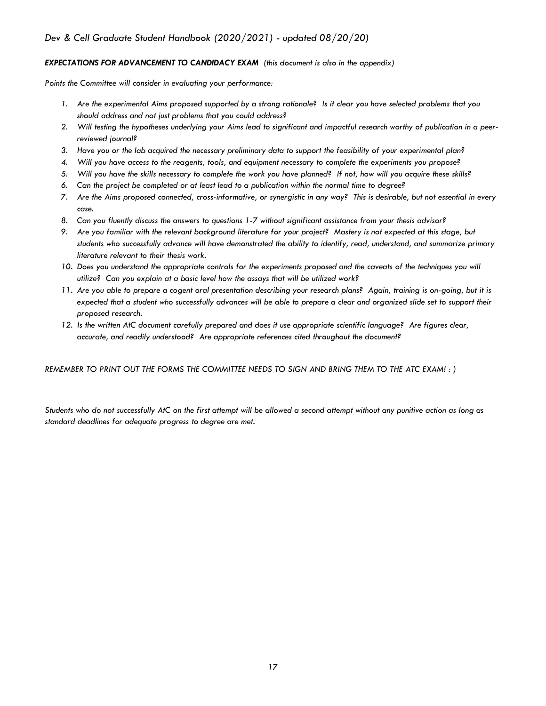#### *EXPECTATIONS FOR ADVANCEMENT TO CANDIDACY EXAM (this document is also in the appendix)*

*Points the Committee will consider in evaluating your performance:*

- *1. Are the experimental Aims proposed supported by a strong rationale? Is it clear you have selected problems that you should address and not just problems that you could address?*
- *2. Will testing the hypotheses underlying your Aims lead to significant and impactful research worthy of publication in a peerreviewed journal?*
- *3. Have you or the lab acquired the necessary preliminary data to support the feasibility of your experimental plan?*
- *4. Will you have access to the reagents, tools, and equipment necessary to complete the experiments you propose?*
- *5. Will you have the skills necessary to complete the work you have planned? If not, how will you acquire these skills?*
- *6. Can the project be completed or at least lead to a publication within the normal time to degree?*
- *7. Are the Aims proposed connected, cross-informative, or synergistic in any way? This is desirable, but not essential in every case.*
- *8. Can you fluently discuss the answers to questions 1-7 without significant assistance from your thesis advisor?*
- *9. Are you familiar with the relevant background literature for your project? Mastery is not expected at this stage, but students who successfully advance will have demonstrated the ability to identify, read, understand, and summarize primary literature relevant to their thesis work.*
- 10. Does you understand the appropriate controls for the experiments proposed and the caveats of the techniques you will *utilize? Can you explain at a basic level how the assays that will be utilized work?*
- *11. Are you able to prepare a cogent oral presentation describing your research plans? Again, training is on-going, but it is expected that a student who successfully advances will be able to prepare a clear and organized slide set to support their proposed research.*
- *12. Is the written AtC document carefully prepared and does it use appropriate scientific language? Are figures clear, accurate, and readily understood? Are appropriate references cited throughout the document?*

*REMEMBER TO PRINT OUT THE FORMS THE COMMITTEE NEEDS TO SIGN AND BRING THEM TO THE ATC EXAM! : )* 

*Students who do not successfully AtC on the first attempt will be allowed a second attempt without any punitive action as long as standard deadlines for adequate progress to degree are met.*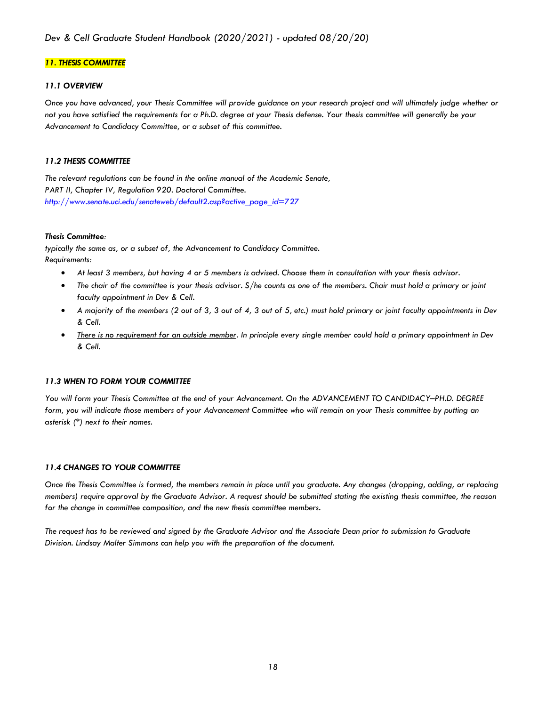#### *11. THESIS COMMITTEE*

#### *11.1 OVERVIEW*

*Once you have advanced, your Thesis Committee will provide guidance on your research project and will ultimately judge whether or not you have satisfied the requirements for a Ph.D. degree at your Thesis defense. Your thesis committee will generally be your Advancement to Candidacy Committee, or a subset of this committee.*

#### *11.2 THESIS COMMITTEE*

*The relevant regulations can be found in the online manual of the Academic Senate, PART II, Chapter IV, Regulation 920. Doctoral Committee. http://www.senate.uci.edu/senateweb/default2.asp?active\_page\_id=727*

#### *Thesis Committee:*

*typically the same as, or a subset of, the Advancement to Candidacy Committee. Requirements:* 

- *At least 3 members, but having 4 or 5 members is advised. Choose them in consultation with your thesis advisor.*
- *The chair of the committee is your thesis advisor. S/he counts as one of the members. Chair must hold a primary or joint faculty appointment in Dev & Cell.*
- *A majority of the members (2 out of 3, 3 out of 4, 3 out of 5, etc.) must hold primary or joint faculty appointments in Dev & Cell.*
- *There is no requirement for an outside member. In principle every single member could hold a primary appointment in Dev & Cell.*

#### *11.3 WHEN TO FORM YOUR COMMITTEE*

*You will form your Thesis Committee at the end of your Advancement. On the ADVANCEMENT TO CANDIDACY–PH.D. DEGREE form, you will indicate those members of your Advancement Committee who will remain on your Thesis committee by putting an asterisk (\*) next to their names.* 

#### *11.4 CHANGES TO YOUR COMMITTEE*

*Once the Thesis Committee is formed, the members remain in place until you graduate. Any changes (dropping, adding, or replacing members) require approval by the Graduate Advisor. A request should be submitted stating the existing thesis committee, the reason for the change in committee composition, and the new thesis committee members.*

*The request has to be reviewed and signed by the Graduate Advisor and the Associate Dean prior to submission to Graduate Division. Lindsay Malter Simmons can help you with the preparation of the document.*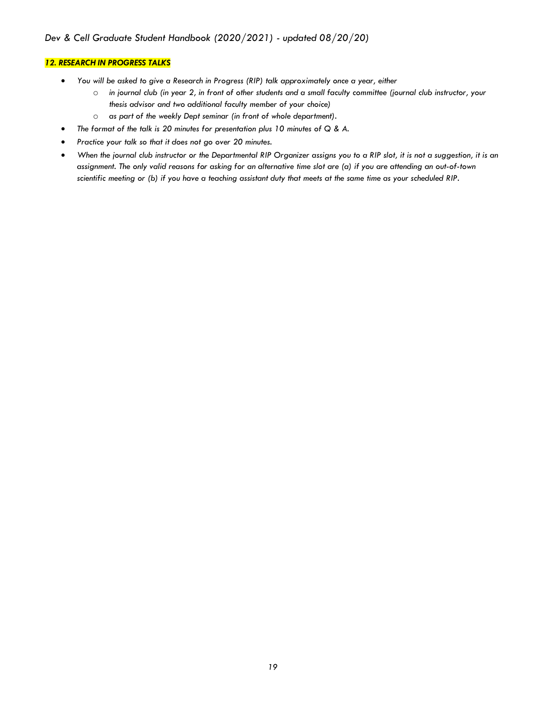#### *12. RESEARCH IN PROGRESS TALKS*

- *You will be asked to give a Research in Progress (RIP) talk approximately once a year, either*
	- o *in journal club (in year 2, in front of other students and a small faculty committee (journal club instructor, your thesis advisor and two additional faculty member of your choice)*
	- o *as part of the weekly Dept seminar (in front of whole department).*
- *The format of the talk is 20 minutes for presentation plus 10 minutes of Q & A.*
- *Practice your talk so that it does not go over 20 minutes.*
- *When the journal club instructor or the Departmental RIP Organizer assigns you to a RIP slot, it is not a suggestion, it is an assignment. The only valid reasons for asking for an alternative time slot are (a) if you are attending an out-of-town scientific meeting or (b) if you have a teaching assistant duty that meets at the same time as your scheduled RIP.*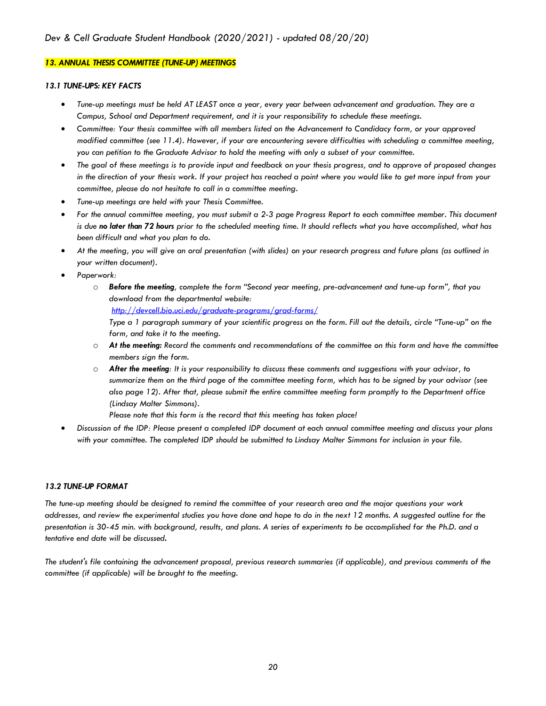#### *13. ANNUAL THESIS COMMITTEE (TUNE-UP) MEETINGS*

#### *13.1 TUNE-UPS: KEY FACTS*

- *Tune-up meetings must be held AT LEAST once a year, every year between advancement and graduation. They are a Campus, School and Department requirement, and it is your responsibility to schedule these meetings.*
- *Committee: Your thesis committee with all members listed on the Advancement to Candidacy form, or your approved modified committee (see 11.4). However, if your are encountering severe difficulties with scheduling a committee meeting, you can petition to the Graduate Advisor to hold the meeting with only a subset of your committee.*
- *The goal of these meetings is to provide input and feedback on your thesis progress, and to approve of proposed changes in the direction of your thesis work. If your project has reached a point where you would like to get more input from your committee, please do not hesitate to call in a committee meeting.*
- *Tune-up meetings are held with your Thesis Committee.*
- *For the annual committee meeting, you must submit a 2-3 page Progress Report to each committee member. This document is due no later than 72 hours prior to the scheduled meeting time. It should reflects what you have accomplished, what has been difficult and what you plan to do.*
- *At the meeting, you will give an oral presentation (with slides) on your research progress and future plans (as outlined in your written document).*
- *Paperwork:*
	- o *Before the meeting, complete the form "Second year meeting, pre-advancement and tune-up form", that you download from the departmental website: http://devcell.bio.uci.edu/graduate-programs/grad-forms/ Type a 1 paragraph summary of your scientific progress on the form. Fill out the details, circle "Tune-up" on the form, and take it to the meeting.*
	- o *At the meeting: Record the comments and recommendations of the committee on this form and have the committee members sign the form.*
	- o *After the meeting: It is your responsibility to discuss these comments and suggestions with your advisor, to summarize them on the third page of the committee meeting form, which has to be signed by your advisor (see also page 12). After that, please submit the entire committee meeting form promptly to the Department office (Lindsay Malter Simmons).*

*Please note that this form is the record that this meeting has taken place!*

• *Discussion of the IDP: Please present a completed IDP document at each annual committee meeting and discuss your plans with your committee. The completed IDP should be submitted to Lindsay Malter Simmons for inclusion in your file.*

#### *13.2 TUNE-UP FORMAT*

*The tune-up meeting should be designed to remind the committee of your research area and the major questions your work*  addresses, and review the experimental studies you have done and hope to do in the next 12 months. A suggested outline for the *presentation is 30-45 min. with background, results, and plans. A series of experiments to be accomplished for the Ph.D. and a tentative end date will be discussed.*

*The student's file containing the advancement proposal, previous research summaries (if applicable), and previous comments of the committee (if applicable) will be brought to the meeting.*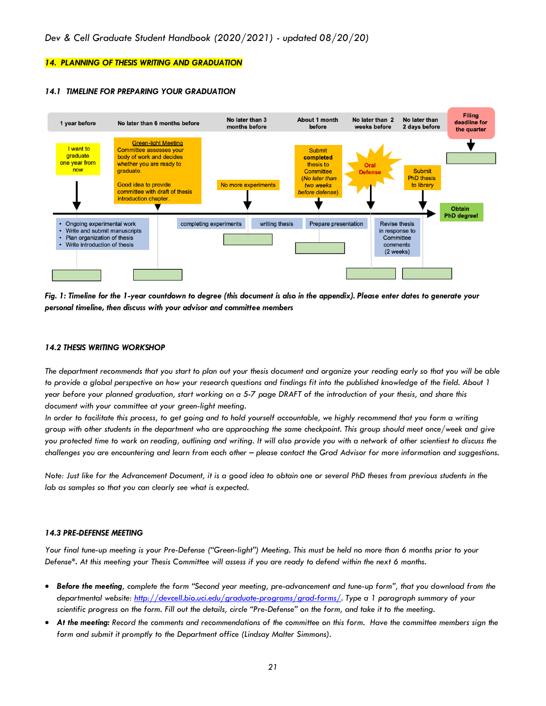#### *14. PLANNING OF THESIS WRITING AND GRADUATION*

#### *14.1 TIMELINE FOR PREPARING YOUR GRADUATION*



*Fig. 1: Timeline for the 1-year countdown to degree (this document is also in the appendix). Please enter dates to generate your personal timeline, then discuss with your advisor and committee members*

#### *14.2 THESIS WRITING WORKSHOP*

*The department recommends that you start to plan out your thesis document and organize your reading early so that you will be able to provide a global perspective on how your research questions and findings fit into the published knowledge of the field. About 1 year before your planned graduation, start working on a 5-7 page DRAFT of the introduction of your thesis, and share this document with your committee at your green-light meeting.*

In order to facilitate this process, to get going and to hold yourself accountable, we highly recommend that you form a writing *group with other students in the department who are approaching the same checkpoint. This group should meet once/week and give you protected time to work on reading, outlining and writing. It will also provide you with a network of other scientiest to discuss the challenges you are encountering and learn from each other – please contact the Grad Advisor for more information and suggestions.*

*Note: Just like for the Advancement Document, it is a good idea to obtain one or several PhD theses from previous students in the lab as samples so that you can clearly see what is expected.*

#### *14.3 PRE-DEFENSE MEETING*

*Your final tune-up meeting is your Pre-Defense ("Green-light") Meeting. This must be held no more than 6 months prior to your Defense\*. At this meeting your Thesis Committee will assess if you are ready to defend within the next 6 months.*

- *Before the meeting, complete the form "Second year meeting, pre-advancement and tune-up form", that you download from the departmental website: http://devcell.bio.uci.edu/graduate-programs/grad-forms/. Type a 1 paragraph summary of your scientific progress on the form. Fill out the details, circle "Pre-Defense" on the form, and take it to the meeting.*
- *At the meeting: Record the comments and recommendations of the committee on this form. Have the committee members sign the form and submit it promptly to the Department office (Lindsay Malter Simmons).*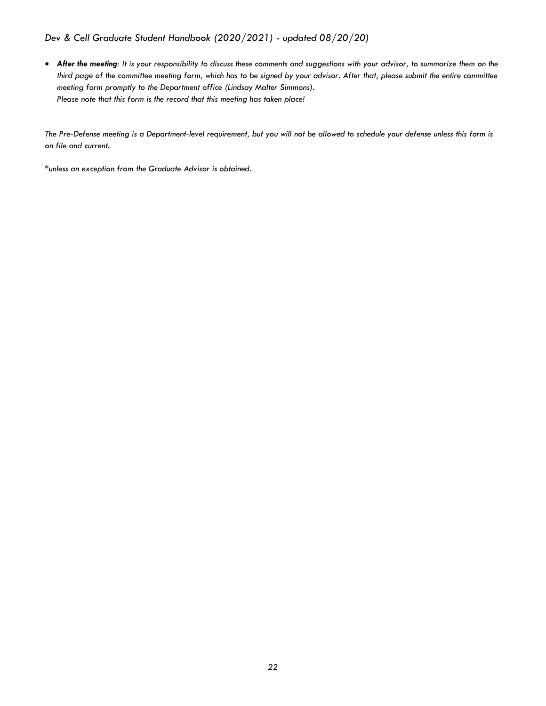• After the meeting: It is your responsibility to discuss these comments and suggestions with your advisor, to summarize them on the *third page of the committee meeting form, which has to be signed by your advisor. After that, please submit the entire committee meeting form promptly to the Department office (Lindsay Malter Simmons). Please note that this form is the record that this meeting has taken place!*

*The Pre-Defense meeting is a Department-level requirement, but you will not be allowed to schedule your defense unless this form is on file and current.*

*\*unless an exception from the Graduate Advisor is obtained.*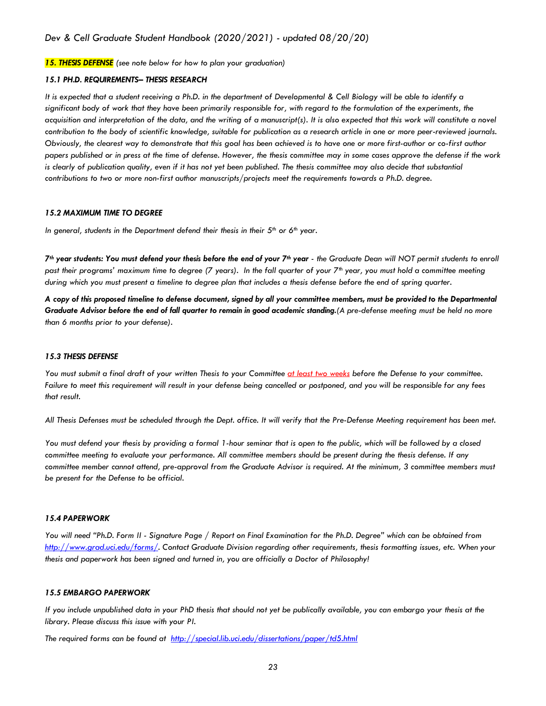*15. THESIS DEFENSE (see note below for how to plan your graduation)*

#### *15.1 PH.D. REQUIREMENTS– THESIS RESEARCH*

*It is expected that a student receiving a Ph.D. in the department of Developmental & Cell Biology will be able to identify a significant body of work that they have been primarily responsible for, with regard to the formulation of the experiments, the acquisition and interpretation of the data, and the writing of a manuscript(s). It is also expected that this work will constitute a novel contribution to the body of scientific knowledge, suitable for publication as a research article in one or more peer-reviewed journals. Obviously, the clearest way to demonstrate that this goal has been achieved is to have one or more first-author or co-first author papers published or in press at the time of defense. However, the thesis committee may in some cases approve the defense if the work is clearly of publication quality, even if it has not yet been published. The thesis committee may also decide that substantial contributions to two or more non-first author manuscripts/projects meet the requirements towards a Ph.D. degree.*

#### *15.2 MAXIMUM TIME TO DEGREE*

*In general, students in the Department defend their thesis in their 5th or 6th year.* 

*7th year students: You must defend your thesis before the end of your 7th year - the Graduate Dean will NOT permit students to enroll past their programs' maximum time to degree (7 years). In the fall quarter of your 7th year, you must hold a committee meeting during which you must present a timeline to degree plan that includes a thesis defense before the end of spring quarter.*

*A copy of this proposed timeline to defense document, signed by all your committee members, must be provided to the Departmental Graduate Advisor before the end of fall quarter to remain in good academic standing.(A pre-defense meeting must be held no more than 6 months prior to your defense).* 

#### *15.3 THESIS DEFENSE*

*You must submit a final draft of your written Thesis to your Committee at least two weeks before the Defense to your committee. Failure to meet this requirement will result in your defense being cancelled or postponed, and you will be responsible for any fees that result.*

*All Thesis Defenses must be scheduled through the Dept. office. It will verify that the Pre-Defense Meeting requirement has been met.*

*You must defend your thesis by providing a formal 1-hour seminar that is open to the public, which will be followed by a closed committee meeting to evaluate your performance. All committee members should be present during the thesis defense. If any committee member cannot attend, pre-approval from the Graduate Advisor is required. At the minimum, 3 committee members must be present for the Defense to be official.*

#### *15.4 PAPERWORK*

*You will need "Ph.D. Form II - Signature Page / Report on Final Examination for the Ph.D. Degree" which can be obtained from http://www.grad.uci.edu/forms/. Contact Graduate Division regarding other requirements, thesis formatting issues, etc. When your thesis and paperwork has been signed and turned in, you are officially a Doctor of Philosophy!*

#### *15.5 EMBARGO PAPERWORK*

*If you include unpublished data in your PhD thesis that should not yet be publically available, you can embargo your thesis at the library. Please discuss this issue with your PI.* 

*The required forms can be found at http://special.lib.uci.edu/dissertations/paper/td5.html*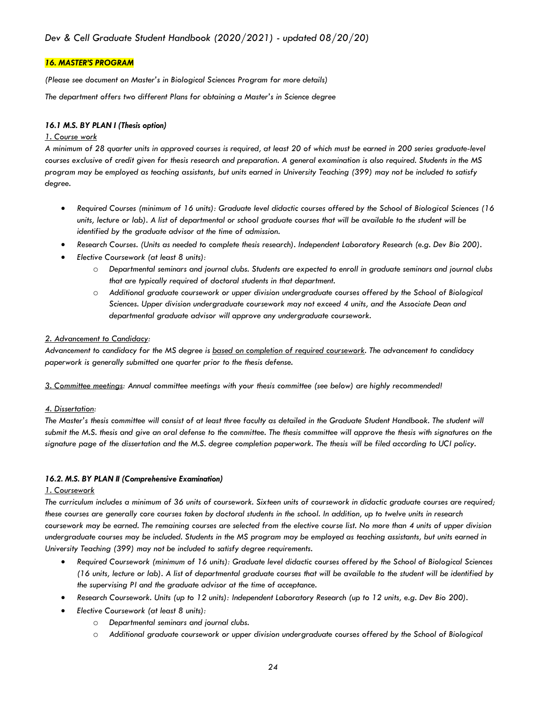#### *16. MASTER'S PROGRAM*

*(Please see document on Master's in Biological Sciences Program for more details)*

*The department offers two different Plans for obtaining a Master's in Science degree*

#### *16.1 M.S. BY PLAN I (Thesis option)*

#### *1. Course work*

*A minimum of 28 quarter units in approved courses is required, at least 20 of which must be earned in 200 series graduate-level courses exclusive of credit given for thesis research and preparation. A general examination is also required. Students in the MS program may be employed as teaching assistants, but units earned in University Teaching (399) may not be included to satisfy degree.*

- *Required Courses (minimum of 16 units): Graduate level didactic courses offered by the School of Biological Sciences (16 units, lecture or lab). A list of departmental or school graduate courses that will be available to the student will be identified by the graduate advisor at the time of admission.*
- *Research Courses. (Units as needed to complete thesis research). Independent Laboratory Research (e.g. Dev Bio 200).*
- *Elective Coursework (at least 8 units):*
	- o *Departmental seminars and journal clubs. Students are expected to enroll in graduate seminars and journal clubs that are typically required of doctoral students in that department.*
	- o *Additional graduate coursework or upper division undergraduate courses offered by the School of Biological Sciences. Upper division undergraduate coursework may not exceed 4 units, and the Associate Dean and departmental graduate advisor will approve any undergraduate coursework.*

#### *2. Advancement to Candidacy:*

*Advancement to candidacy for the MS degree is based on completion of required coursework. The advancement to candidacy paperwork is generally submitted one quarter prior to the thesis defense.*

*3. Committee meetings: Annual committee meetings with your thesis committee (see below) are highly recommended!*

#### *4. Dissertation:*

*The Master's thesis committee will consist of at least three faculty as detailed in the Graduate Student Handbook. The student will submit the M.S. thesis and give an oral defense to the committee. The thesis committee will approve the thesis with signatures on the signature page of the dissertation and the M.S. degree completion paperwork. The thesis will be filed according to UCI policy.*

#### *16.2. M.S. BY PLAN II (Comprehensive Examination)*

#### *1. Coursework*

*The curriculum includes a minimum of 36 units of coursework. Sixteen units of coursework in didactic graduate courses are required; these courses are generally core courses taken by doctoral students in the school. In addition, up to twelve units in research coursework may be earned. The remaining courses are selected from the elective course list. No more than 4 units of upper division undergraduate courses may be included. Students in the MS program may be employed as teaching assistants, but units earned in University Teaching (399) may not be included to satisfy degree requirements.*

- *Required Coursework (minimum of 16 units): Graduate level didactic courses offered by the School of Biological Sciences (16 units, lecture or lab). A list of departmental graduate courses that will be available to the student will be identified by the supervising PI and the graduate advisor at the time of acceptance.*
- *Research Coursework. Units (up to 12 units): Independent Laboratory Research (up to 12 units, e.g. Dev Bio 200).*
- *Elective Coursework (at least 8 units):*
	- o *Departmental seminars and journal clubs.*
	- o *Additional graduate coursework or upper division undergraduate courses offered by the School of Biological*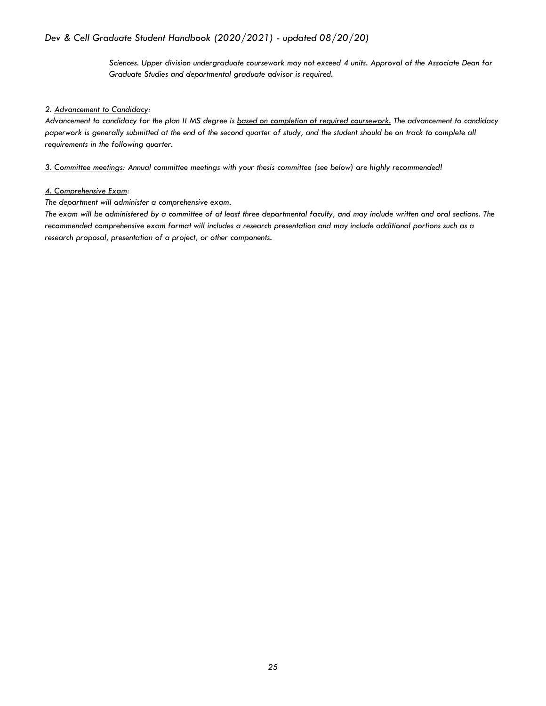*Sciences. Upper division undergraduate coursework may not exceed 4 units. Approval of the Associate Dean for Graduate Studies and departmental graduate advisor is required.*

#### *2. Advancement to Candidacy:*

*Advancement to candidacy for the plan II MS degree is based on completion of required coursework. The advancement to candidacy paperwork is generally submitted at the end of the second quarter of study, and the student should be on track to complete all requirements in the following quarter.*

*3. Committee meetings: Annual committee meetings with your thesis committee (see below) are highly recommended!*

#### *4. Comprehensive Exam:*

*The department will administer a comprehensive exam.*

*The exam will be administered by a committee of at least three departmental faculty, and may include written and oral sections. The recommended comprehensive exam format will includes a research presentation and may include additional portions such as a research proposal, presentation of a project, or other components.*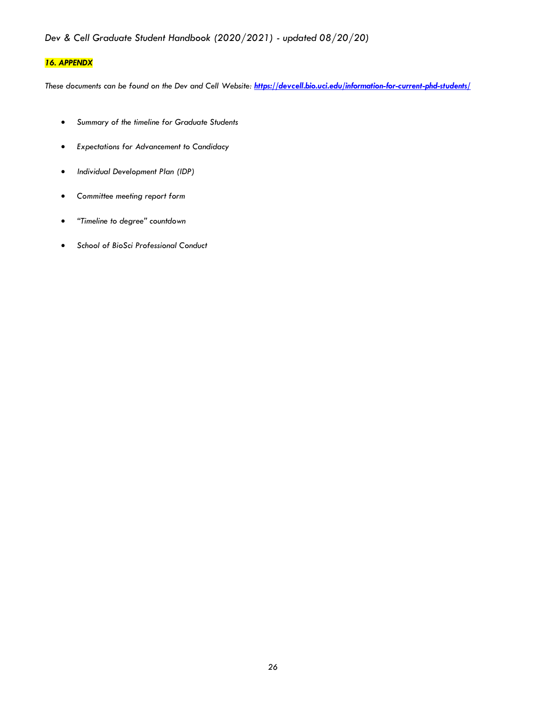## *16. APPENDX*

*These documents can be found on the Dev and Cell Website: https://devcell.bio.uci.edu/information-for-current-phd-students/*

- *Summary of the timeline for Graduate Students*
- *Expectations for Advancement to Candidacy*
- *Individual Development Plan (IDP)*
- *Committee meeting report form*
- *"Timeline to degree" countdown*
- *School of BioSci Professional Conduct*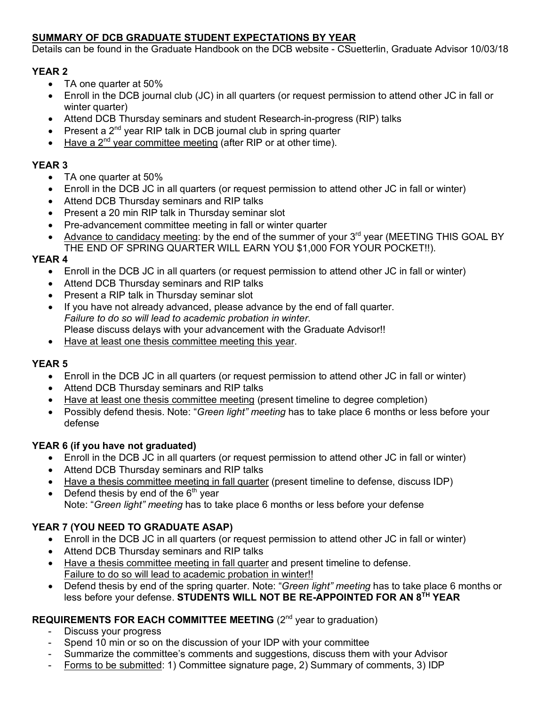## **SUMMARY OF DCB GRADUATE STUDENT EXPECTATIONS BY YEAR**

Details can be found in the Graduate Handbook on the DCB website - CSuetterlin, Graduate Advisor 10/03/18

## **YEAR 2**

- TA one quarter at 50%
- Enroll in the DCB journal club (JC) in all quarters (or request permission to attend other JC in fall or winter quarter)
- Attend DCB Thursday seminars and student Research-in-progress (RIP) talks
- Present a  $2^{nd}$  year RIP talk in DCB journal club in spring quarter
- Have a  $2^{nd}$  year committee meeting (after RIP or at other time).

## **YEAR 3**

- TA one quarter at 50%
- Enroll in the DCB JC in all quarters (or request permission to attend other JC in fall or winter)
- Attend DCB Thursday seminars and RIP talks
- Present a 20 min RIP talk in Thursday seminar slot
- Pre-advancement committee meeting in fall or winter quarter
- Advance to candidacy meeting: by the end of the summer of your 3<sup>rd</sup> year (MEETING THIS GOAL BY THE END OF SPRING QUARTER WILL EARN YOU \$1,000 FOR YOUR POCKET!!).

## **YEAR 4**

- Enroll in the DCB JC in all quarters (or request permission to attend other JC in fall or winter)
- Attend DCB Thursday seminars and RIP talks
- Present a RIP talk in Thursday seminar slot
- If you have not already advanced, please advance by the end of fall quarter. *Failure to do so will lead to academic probation in winter*. Please discuss delays with your advancement with the Graduate Advisor!!
- Have at least one thesis committee meeting this year.

## **YEAR 5**

- Enroll in the DCB JC in all quarters (or request permission to attend other JC in fall or winter)
- Attend DCB Thursday seminars and RIP talks
- Have at least one thesis committee meeting (present timeline to degree completion)
- Possibly defend thesis. Note: "*Green light" meeting* has to take place 6 months or less before your defense

## **YEAR 6 (if you have not graduated)**

- Enroll in the DCB JC in all quarters (or request permission to attend other JC in fall or winter)
- Attend DCB Thursday seminars and RIP talks
- Have a thesis committee meeting in fall quarter (present timeline to defense, discuss IDP)
- Defend thesis by end of the  $6<sup>th</sup>$  year Note: "*Green light" meeting* has to take place 6 months or less before your defense

## **YEAR 7 (YOU NEED TO GRADUATE ASAP)**

- Enroll in the DCB JC in all quarters (or request permission to attend other JC in fall or winter)
- Attend DCB Thursday seminars and RIP talks
- Have a thesis committee meeting in fall quarter and present timeline to defense. Failure to do so will lead to academic probation in winter!!
- Defend thesis by end of the spring quarter. Note: "*Green light" meeting* has to take place 6 months or less before your defense. **STUDENTS WILL NOT BE RE-APPOINTED FOR AN 8TH YEAR**

## **REQUIREMENTS FOR EACH COMMITTEE MEETING** (2<sup>nd</sup> year to graduation)

- Discuss your progress
- Spend 10 min or so on the discussion of your IDP with your committee
- Summarize the committee's comments and suggestions, discuss them with your Advisor
- Forms to be submitted: 1) Committee signature page, 2) Summary of comments, 3) IDP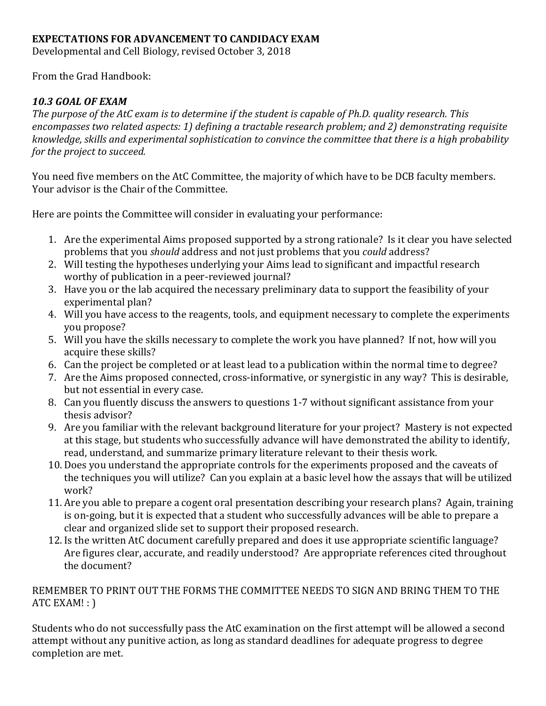## **EXPECTATIONS FOR ADVANCEMENT TO CANDIDACY EXAM**

Developmental and Cell Biology, revised October 3, 2018

From the Grad Handbook:

## *10.3 GOAL OF EXAM*

The purpose of the AtC exam is to determine if the student is capable of Ph.D. quality research. This encompasses two related aspects: 1) defining a tractable research problem; and 2) demonstrating requisite *knowledge, skills and experimental sophistication to convince the committee that there is a high probability for the project to succeed.* 

You need five members on the AtC Committee, the majority of which have to be DCB faculty members. Your advisor is the Chair of the Committee.

Here are points the Committee will consider in evaluating your performance:

- 1. Are the experimental Aims proposed supported by a strong rationale? Is it clear you have selected problems that you *should* address and not just problems that you *could* address?
- 2. Will testing the hypotheses underlying your Aims lead to significant and impactful research worthy of publication in a peer-reviewed journal?
- 3. Have you or the lab acquired the necessary preliminary data to support the feasibility of your experimental plan?
- 4. Will you have access to the reagents, tools, and equipment necessary to complete the experiments you propose?
- 5. Will you have the skills necessary to complete the work you have planned? If not, how will you acquire these skills?
- 6. Can the project be completed or at least lead to a publication within the normal time to degree?
- 7. Are the Aims proposed connected, cross-informative, or synergistic in any way? This is desirable, but not essential in every case.
- 8. Can you fluently discuss the answers to questions 1-7 without significant assistance from your thesis advisor?
- 9. Are you familiar with the relevant background literature for your project? Mastery is not expected at this stage, but students who successfully advance will have demonstrated the ability to identify, read, understand, and summarize primary literature relevant to their thesis work.
- 10. Does you understand the appropriate controls for the experiments proposed and the caveats of the techniques you will utilize? Can you explain at a basic level how the assays that will be utilized work?
- 11. Are you able to prepare a cogent oral presentation describing your research plans? Again, training is on-going, but it is expected that a student who successfully advances will be able to prepare a clear and organized slide set to support their proposed research.
- 12. Is the written AtC document carefully prepared and does it use appropriate scientific language? Are figures clear, accurate, and readily understood? Are appropriate references cited throughout the document?

## REMEMBER TO PRINT OUT THE FORMS THE COMMITTEE NEEDS TO SIGN AND BRING THEM TO THE ATC EXAM! : )

Students who do not successfully pass the AtC examination on the first attempt will be allowed a second attempt without any punitive action, as long as standard deadlines for adequate progress to degree completion are met.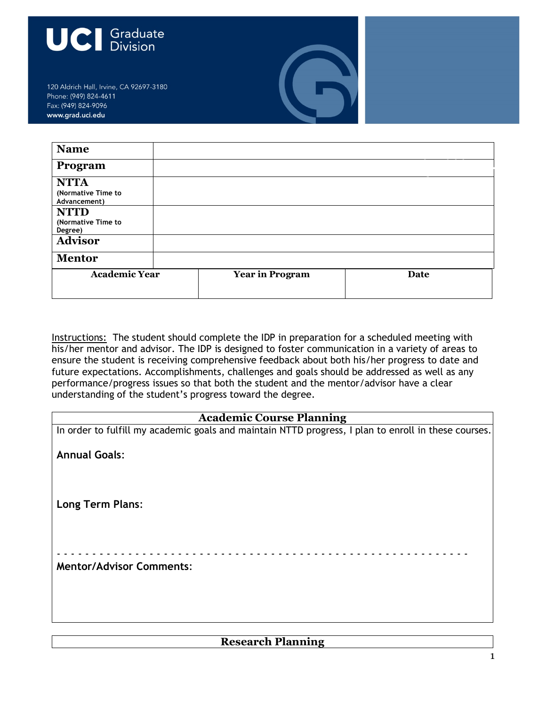

120 Aldrich Hall, Irvine, CA 92697-3180 Phone: (949) 824-4611 Fax: (949) 824-9096 www.grad.uci.edu

| <b>Name</b>                                       |                        |      |
|---------------------------------------------------|------------------------|------|
| Program                                           |                        |      |
| <b>NTTA</b><br>(Normative Time to<br>Advancement) |                        |      |
| <b>NTTD</b><br>(Normative Time to<br>Degree)      |                        |      |
| <b>Advisor</b>                                    |                        |      |
| <b>Mentor</b>                                     |                        |      |
| <b>Academic Year</b>                              | <b>Year in Program</b> | Date |

Instructions: The student should complete the IDP in preparation for a scheduled meeting with his/her mentor and advisor. The IDP is designed to foster communication in a variety of areas to ensure the student is receiving comprehensive feedback about both his/her progress to date and future expectations. Accomplishments, challenges and goals should be addressed as well as any performance/progress issues so that both the student and the mentor/advisor have a clear understanding of the student's progress toward the degree.

## **Academic Course Planning**

| In order to fulfill my academic goals and maintain NTTD progress, I plan to enroll in these courses. |
|------------------------------------------------------------------------------------------------------|
| <b>Annual Goals:</b>                                                                                 |
|                                                                                                      |
| <b>Long Term Plans:</b>                                                                              |
|                                                                                                      |
|                                                                                                      |
| <b>Mentor/Advisor Comments:</b>                                                                      |
|                                                                                                      |
|                                                                                                      |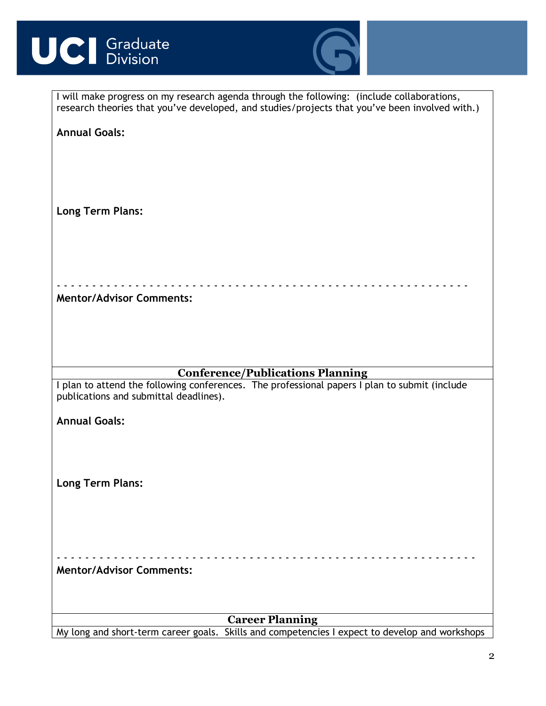# **UCI** Graduate



| I will make progress on my research agenda through the following: (include collaborations,<br>research theories that you've developed, and studies/projects that you've been involved with.) |  |  |
|----------------------------------------------------------------------------------------------------------------------------------------------------------------------------------------------|--|--|
| <b>Annual Goals:</b>                                                                                                                                                                         |  |  |
|                                                                                                                                                                                              |  |  |
|                                                                                                                                                                                              |  |  |
|                                                                                                                                                                                              |  |  |
| <b>Long Term Plans:</b>                                                                                                                                                                      |  |  |
|                                                                                                                                                                                              |  |  |
|                                                                                                                                                                                              |  |  |
|                                                                                                                                                                                              |  |  |
| <b>Mentor/Advisor Comments:</b>                                                                                                                                                              |  |  |
|                                                                                                                                                                                              |  |  |
|                                                                                                                                                                                              |  |  |
| <b>Conference/Publications Planning</b>                                                                                                                                                      |  |  |
| I plan to attend the following conferences. The professional papers I plan to submit (include<br>publications and submittal deadlines).                                                      |  |  |
| <b>Annual Goals:</b>                                                                                                                                                                         |  |  |
|                                                                                                                                                                                              |  |  |
|                                                                                                                                                                                              |  |  |
| <b>Long Term Plans:</b>                                                                                                                                                                      |  |  |
|                                                                                                                                                                                              |  |  |
|                                                                                                                                                                                              |  |  |
|                                                                                                                                                                                              |  |  |
| <b>Mentor/Advisor Comments:</b>                                                                                                                                                              |  |  |
|                                                                                                                                                                                              |  |  |
| <b>Career Planning</b>                                                                                                                                                                       |  |  |
| My long and short-term career goals. Skills and competencies I expect to develop and workshops                                                                                               |  |  |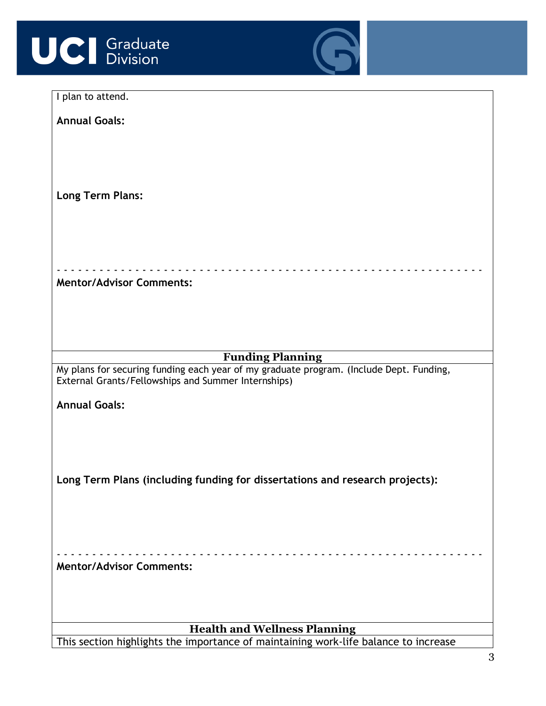



| I plan to attend.                                                                                                                              |  |  |
|------------------------------------------------------------------------------------------------------------------------------------------------|--|--|
| <b>Annual Goals:</b>                                                                                                                           |  |  |
|                                                                                                                                                |  |  |
|                                                                                                                                                |  |  |
|                                                                                                                                                |  |  |
|                                                                                                                                                |  |  |
| <b>Long Term Plans:</b>                                                                                                                        |  |  |
|                                                                                                                                                |  |  |
|                                                                                                                                                |  |  |
|                                                                                                                                                |  |  |
|                                                                                                                                                |  |  |
| <b>Mentor/Advisor Comments:</b>                                                                                                                |  |  |
|                                                                                                                                                |  |  |
|                                                                                                                                                |  |  |
|                                                                                                                                                |  |  |
|                                                                                                                                                |  |  |
| <b>Funding Planning</b>                                                                                                                        |  |  |
| My plans for securing funding each year of my graduate program. (Include Dept. Funding,<br>External Grants/Fellowships and Summer Internships) |  |  |
|                                                                                                                                                |  |  |
| <b>Annual Goals:</b>                                                                                                                           |  |  |
|                                                                                                                                                |  |  |
|                                                                                                                                                |  |  |
|                                                                                                                                                |  |  |
| Long Term Plans (including funding for dissertations and research projects):                                                                   |  |  |
|                                                                                                                                                |  |  |
|                                                                                                                                                |  |  |
|                                                                                                                                                |  |  |
|                                                                                                                                                |  |  |
|                                                                                                                                                |  |  |
| <b>Mentor/Advisor Comments:</b>                                                                                                                |  |  |
|                                                                                                                                                |  |  |
|                                                                                                                                                |  |  |
| <b>Health and Wellness Planning</b>                                                                                                            |  |  |
| This section highlights the importance of maintaining work-life balance to increase                                                            |  |  |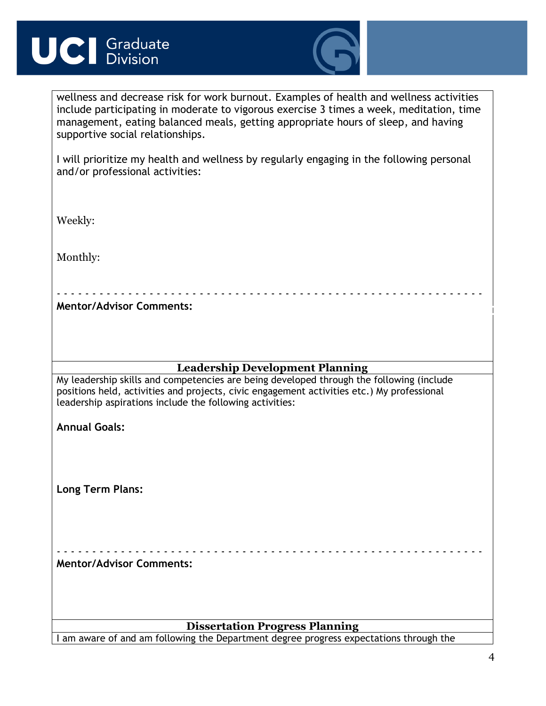# **UCI** Graduate



wellness and decrease risk for work burnout. Examples of health and wellness activities include participating in moderate to vigorous exercise 3 times a week, meditation, time management, eating balanced meals, getting appropriate hours of sleep, and having supportive social relationships.

I will prioritize my health and wellness by regularly engaging in the following personal and/or professional activities:

Weekly:

Monthly:

**Mentor/Advisor Comments:**

## **Leadership Development Planning**

- - - - - - - - - - - - - - - - - - - - - - - - - - - - - - - - - - - - - - - - - - - - - - - - - - - - - - - - - - - -

My leadership skills and competencies are being developed through the following (include positions held, activities and projects, civic engagement activities etc.) My professional leadership aspirations include the following activities:

**Annual Goals:**

**Long Term Plans:**

- - - - - - - - - - - - - - - - - - - - - - - - - - - - - - - - - - - - - - - - - - - - - - - - - - - - - - - - - - - - **Mentor/Advisor Comments:**

## **Dissertation Progress Planning**

I am aware of and am following the Department degree progress expectations through the

**IDP**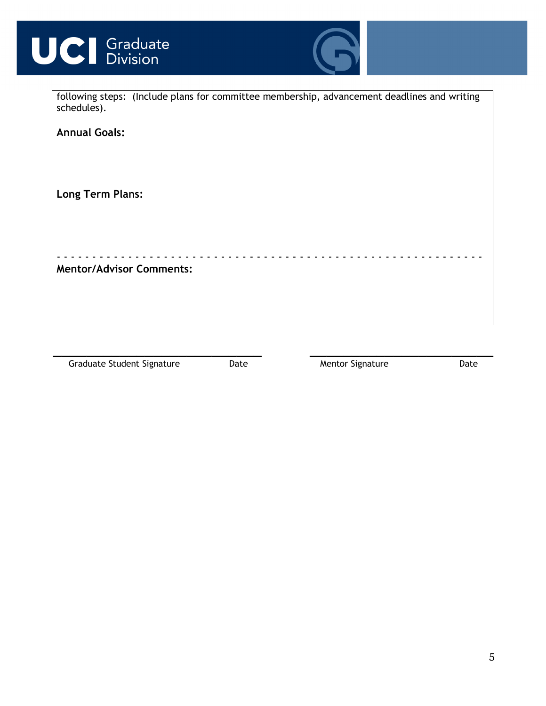



| schedules).                     | following steps: (Include plans for committee membership, advancement deadlines and writing |
|---------------------------------|---------------------------------------------------------------------------------------------|
| <b>Annual Goals:</b>            |                                                                                             |
| <b>Long Term Plans:</b>         |                                                                                             |
|                                 |                                                                                             |
| <b>Mentor/Advisor Comments:</b> |                                                                                             |
|                                 |                                                                                             |

**\_\_\_\_\_\_\_\_\_\_\_\_\_\_\_\_\_\_\_\_\_\_\_\_\_ \_\_\_\_\_\_\_\_\_\_\_\_\_\_\_\_\_\_\_\_\_\_** Graduate Student Signature Date Date Mentor Signature Date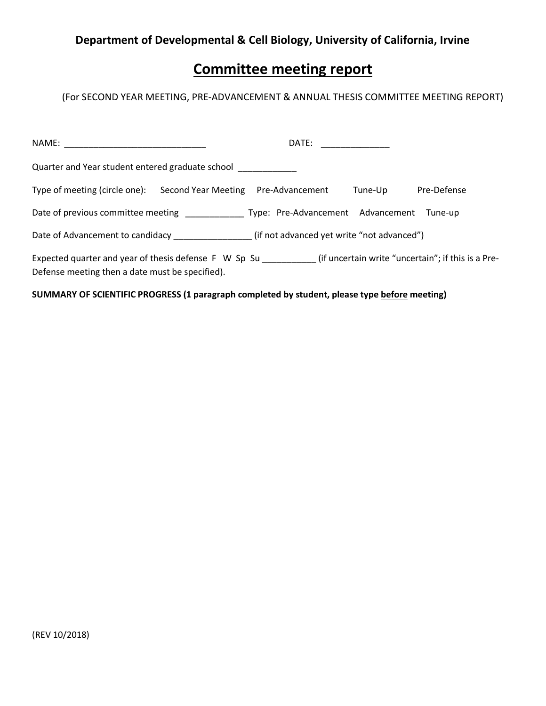## **Department of Developmental & Cell Biology, University of California, Irvine**

## **Committee meeting report**

(For SECOND YEAR MEETING, PRE-ADVANCEMENT & ANNUAL THESIS COMMITTEE MEETING REPORT)

| NAME: NAME:                                                                  |                                                                                                                        |
|------------------------------------------------------------------------------|------------------------------------------------------------------------------------------------------------------------|
| Quarter and Year student entered graduate school                             |                                                                                                                        |
| Type of meeting (circle one):<br>Second Year Meeting Pre-Advancement         | Pre-Defense<br>Tune-Up                                                                                                 |
| Date of previous committee meeting Type: Pre-Advancement Advancement Tune-up |                                                                                                                        |
| (if not advanced yet write "not advanced") Date of Advancement to candidacy  |                                                                                                                        |
| Defense meeting then a date must be specified).                              | Expected quarter and year of thesis defense F W Sp Su ______________(if uncertain write "uncertain"; if this is a Pre- |

**SUMMARY OF SCIENTIFIC PROGRESS (1 paragraph completed by student, please type before meeting)**

(REV 10/2018)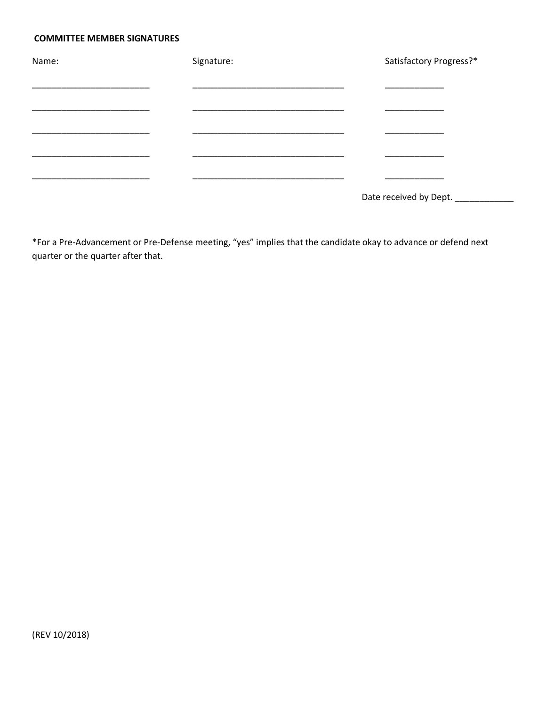#### **COMMITTEE MEMBER SIGNATURES**

| Name: | Signature: | Satisfactory Progress?*         |
|-------|------------|---------------------------------|
|       |            |                                 |
|       |            |                                 |
|       |            |                                 |
|       |            |                                 |
|       |            |                                 |
|       |            |                                 |
|       |            | Date received by Dept. ________ |

\*For a Pre-Advancement or Pre-Defense meeting, "yes" implies that the candidate okay to advance or defend next quarter or the quarter after that.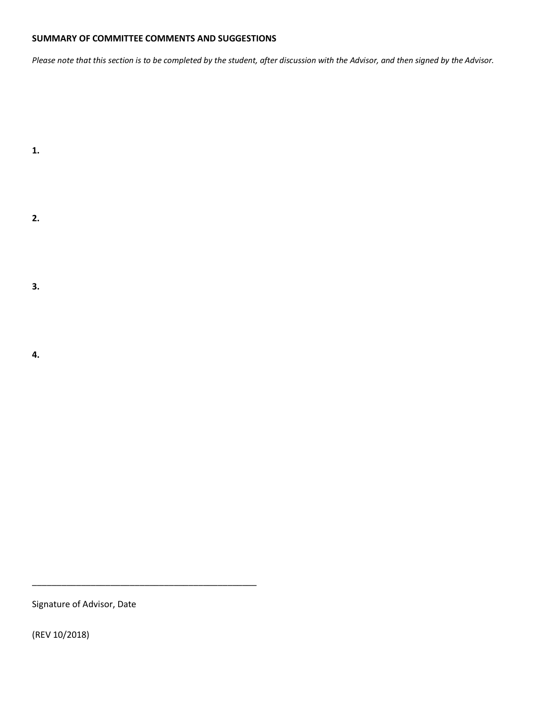#### **SUMMARY OF COMMITTEE COMMENTS AND SUGGESTIONS**

*Please note that this section is to be completed by the student, after discussion with the Advisor, and then signed by the Advisor.*

**2.**

**1.**

**3.**

**4.**

Signature of Advisor, Date

\_\_\_\_\_\_\_\_\_\_\_\_\_\_\_\_\_\_\_\_\_\_\_\_\_\_\_\_\_\_\_\_\_\_\_\_\_\_\_\_\_\_\_\_\_\_

(REV 10/2018)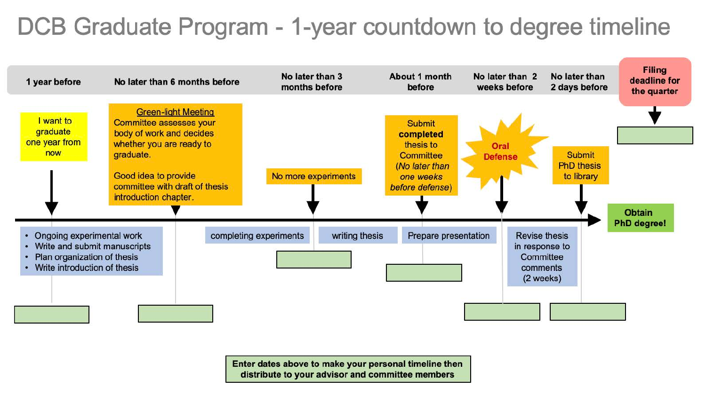# DCB Graduate Program - 1-year countdown to degree timeline



Enter dates above to make your personal timeline then distribute to your advisor and committee members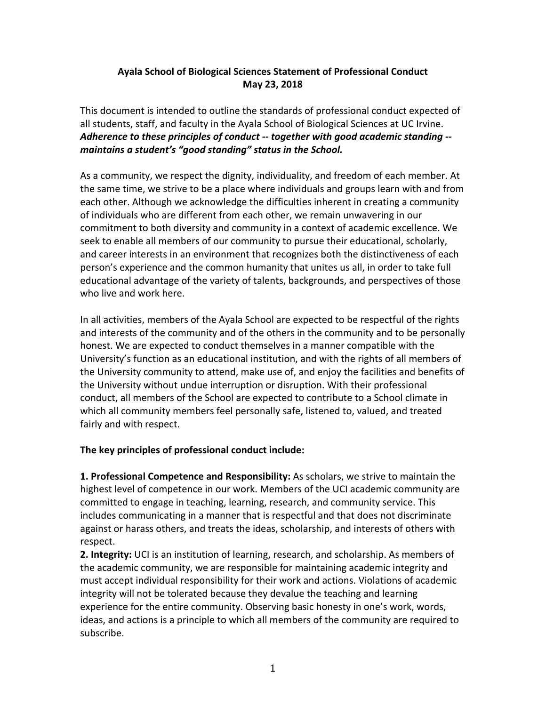## **Ayala School of Biological Sciences Statement of Professional Conduct May 23, 2018**

This document is intended to outline the standards of professional conduct expected of all students, staff, and faculty in the Ayala School of Biological Sciences at UC Irvine. Adherence to these principles of conduct -- together with good academic standing -maintains a student's "good standing" status in the School.

As a community, we respect the dignity, individuality, and freedom of each member. At the same time, we strive to be a place where individuals and groups learn with and from each other. Although we acknowledge the difficulties inherent in creating a community of individuals who are different from each other, we remain unwavering in our commitment to both diversity and community in a context of academic excellence. We seek to enable all members of our community to pursue their educational, scholarly, and career interests in an environment that recognizes both the distinctiveness of each person's experience and the common humanity that unites us all, in order to take full educational advantage of the variety of talents, backgrounds, and perspectives of those who live and work here.

In all activities, members of the Ayala School are expected to be respectful of the rights and interests of the community and of the others in the community and to be personally honest. We are expected to conduct themselves in a manner compatible with the University's function as an educational institution, and with the rights of all members of the University community to attend, make use of, and enjoy the facilities and benefits of the University without undue interruption or disruption. With their professional conduct, all members of the School are expected to contribute to a School climate in which all community members feel personally safe, listened to, valued, and treated fairly and with respect.

## The key principles of professional conduct include:

**1. Professional Competence and Responsibility:** As scholars, we strive to maintain the highest level of competence in our work. Members of the UCI academic community are committed to engage in teaching, learning, research, and community service. This includes communicating in a manner that is respectful and that does not discriminate against or harass others, and treats the ideas, scholarship, and interests of others with respect.

**2.** Integrity: UCI is an institution of learning, research, and scholarship. As members of the academic community, we are responsible for maintaining academic integrity and must accept individual responsibility for their work and actions. Violations of academic integrity will not be tolerated because they devalue the teaching and learning experience for the entire community. Observing basic honesty in one's work, words, ideas, and actions is a principle to which all members of the community are required to subscribe.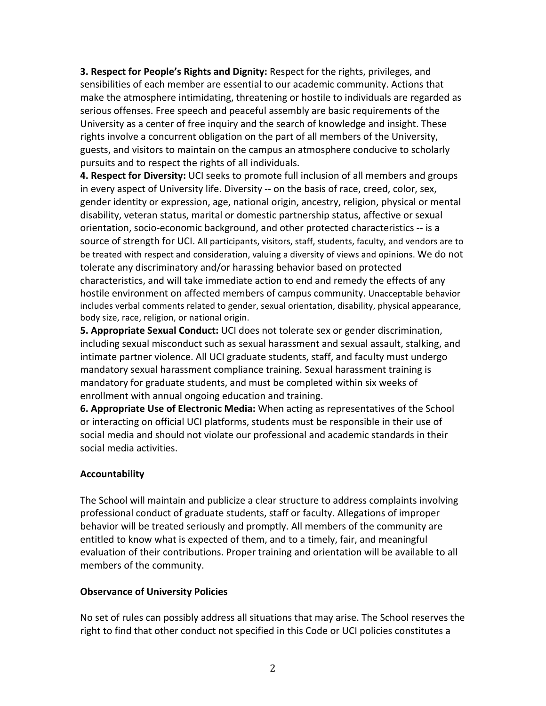**3. Respect for People's Rights and Dignity:** Respect for the rights, privileges, and sensibilities of each member are essential to our academic community. Actions that make the atmosphere intimidating, threatening or hostile to individuals are regarded as serious offenses. Free speech and peaceful assembly are basic requirements of the University as a center of free inquiry and the search of knowledge and insight. These rights involve a concurrent obligation on the part of all members of the University, guests, and visitors to maintain on the campus an atmosphere conducive to scholarly pursuits and to respect the rights of all individuals.

**4. Respect for Diversity:** UCI seeks to promote full inclusion of all members and groups in every aspect of University life. Diversity -- on the basis of race, creed, color, sex, gender identity or expression, age, national origin, ancestry, religion, physical or mental disability, veteran status, marital or domestic partnership status, affective or sexual orientation, socio-economic background, and other protected characteristics -- is a source of strength for UCI. All participants, visitors, staff, students, faculty, and vendors are to be treated with respect and consideration, valuing a diversity of views and opinions. We do not tolerate any discriminatory and/or harassing behavior based on protected characteristics, and will take immediate action to end and remedy the effects of any hostile environment on affected members of campus community. Unacceptable behavior includes verbal comments related to gender, sexual orientation, disability, physical appearance, body size, race, religion, or national origin.

**5. Appropriate Sexual Conduct:** UCI does not tolerate sex or gender discrimination, including sexual misconduct such as sexual harassment and sexual assault, stalking, and intimate partner violence. All UCI graduate students, staff, and faculty must undergo mandatory sexual harassment compliance training. Sexual harassment training is mandatory for graduate students, and must be completed within six weeks of enrollment with annual ongoing education and training.

**6. Appropriate Use of Electronic Media:** When acting as representatives of the School or interacting on official UCI platforms, students must be responsible in their use of social media and should not violate our professional and academic standards in their social media activities.

## **Accountability**

The School will maintain and publicize a clear structure to address complaints involving professional conduct of graduate students, staff or faculty. Allegations of improper behavior will be treated seriously and promptly. All members of the community are entitled to know what is expected of them, and to a timely, fair, and meaningful evaluation of their contributions. Proper training and orientation will be available to all members of the community.

## **Observance of University Policies**

No set of rules can possibly address all situations that may arise. The School reserves the right to find that other conduct not specified in this Code or UCI policies constitutes a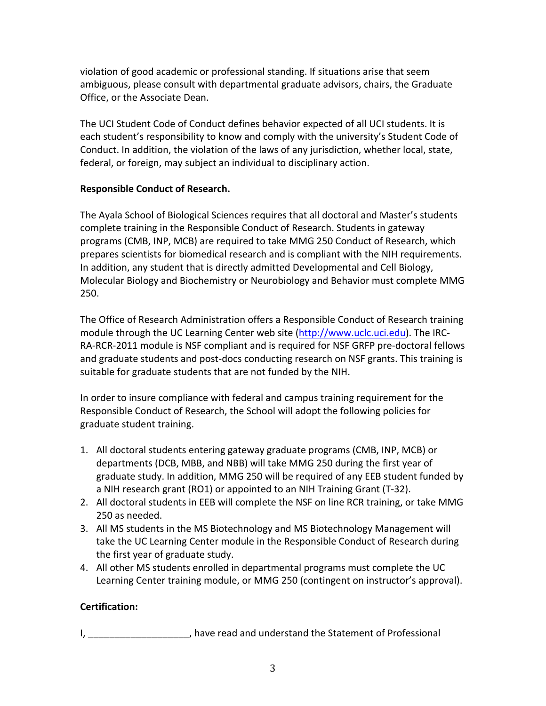violation of good academic or professional standing. If situations arise that seem ambiguous, please consult with departmental graduate advisors, chairs, the Graduate Office, or the Associate Dean.

The UCI Student Code of Conduct defines behavior expected of all UCI students. It is each student's responsibility to know and comply with the university's Student Code of Conduct. In addition, the violation of the laws of any jurisdiction, whether local, state, federal, or foreign, may subject an individual to disciplinary action.

## **Responsible Conduct of Research.**

The Ayala School of Biological Sciences requires that all doctoral and Master's students complete training in the Responsible Conduct of Research. Students in gateway programs (CMB, INP, MCB) are required to take MMG 250 Conduct of Research, which prepares scientists for biomedical research and is compliant with the NIH requirements. In addition, any student that is directly admitted Developmental and Cell Biology, Molecular Biology and Biochemistry or Neurobiology and Behavior must complete MMG 250.

The Office of Research Administration offers a Responsible Conduct of Research training module through the UC Learning Center web site (http://www.uclc.uci.edu). The IRC-RA-RCR-2011 module is NSF compliant and is required for NSF GRFP pre-doctoral fellows and graduate students and post-docs conducting research on NSF grants. This training is suitable for graduate students that are not funded by the NIH.

In order to insure compliance with federal and campus training requirement for the Responsible Conduct of Research, the School will adopt the following policies for graduate student training.

- 1. All doctoral students entering gateway graduate programs (CMB, INP, MCB) or departments (DCB, MBB, and NBB) will take MMG 250 during the first year of graduate study. In addition, MMG 250 will be required of any EEB student funded by a NIH research grant (RO1) or appointed to an NIH Training Grant (T-32).
- 2. All doctoral students in EEB will complete the NSF on line RCR training, or take MMG 250 as needed.
- 3. All MS students in the MS Biotechnology and MS Biotechnology Management will take the UC Learning Center module in the Responsible Conduct of Research during the first year of graduate study.
- 4. All other MS students enrolled in departmental programs must complete the UC Learning Center training module, or MMG 250 (contingent on instructor's approval).

## **Certification:**

I, and the Statement of Professional contact the Statement of Professional contact the Statement of Professional